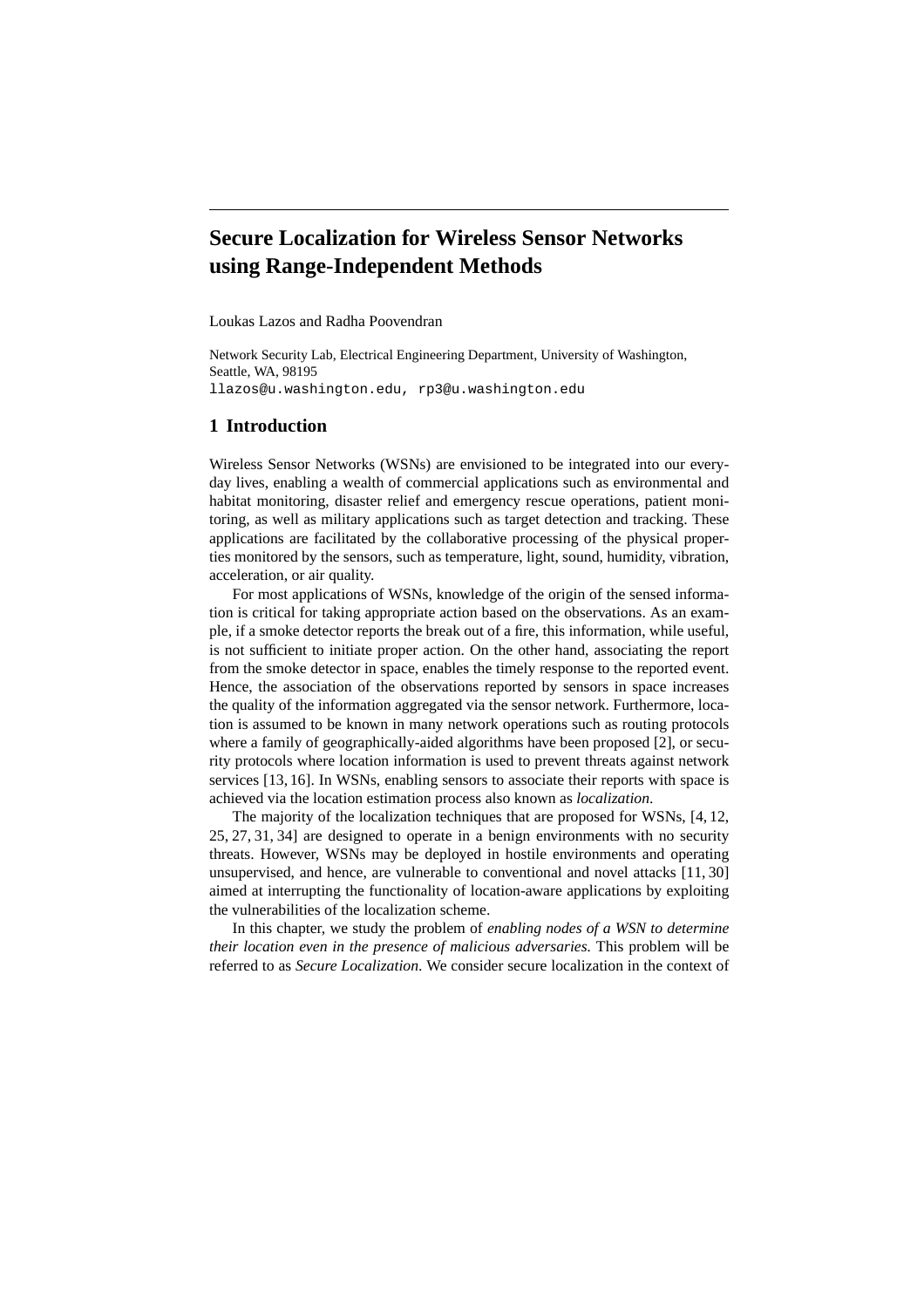# **Secure Localization for Wireless Sensor Networks using Range-Independent Methods**

Loukas Lazos and Radha Poovendran

Network Security Lab, Electrical Engineering Department, University of Washington, Seattle, WA, 98195 llazos@u.washington.edu, rp3@u.washington.edu

#### **1 Introduction**

Wireless Sensor Networks (WSNs) are envisioned to be integrated into our everyday lives, enabling a wealth of commercial applications such as environmental and habitat monitoring, disaster relief and emergency rescue operations, patient monitoring, as well as military applications such as target detection and tracking. These applications are facilitated by the collaborative processing of the physical properties monitored by the sensors, such as temperature, light, sound, humidity, vibration, acceleration, or air quality.

For most applications of WSNs, knowledge of the origin of the sensed information is critical for taking appropriate action based on the observations. As an example, if a smoke detector reports the break out of a fire, this information, while useful, is not sufficient to initiate proper action. On the other hand, associating the report from the smoke detector in space, enables the timely response to the reported event. Hence, the association of the observations reported by sensors in space increases the quality of the information aggregated via the sensor network. Furthermore, location is assumed to be known in many network operations such as routing protocols where a family of geographically-aided algorithms have been proposed [2], or security protocols where location information is used to prevent threats against network services [13, 16]. In WSNs, enabling sensors to associate their reports with space is achieved via the location estimation process also known as *localization*.

The majority of the localization techniques that are proposed for WSNs, [4, 12, 25, 27, 31, 34] are designed to operate in a benign environments with no security threats. However, WSNs may be deployed in hostile environments and operating unsupervised, and hence, are vulnerable to conventional and novel attacks [11, 30] aimed at interrupting the functionality of location-aware applications by exploiting the vulnerabilities of the localization scheme.

In this chapter, we study the problem of *enabling nodes of a WSN to determine their location even in the presence of malicious adversaries.* This problem will be referred to as *Secure Localization*. We consider secure localization in the context of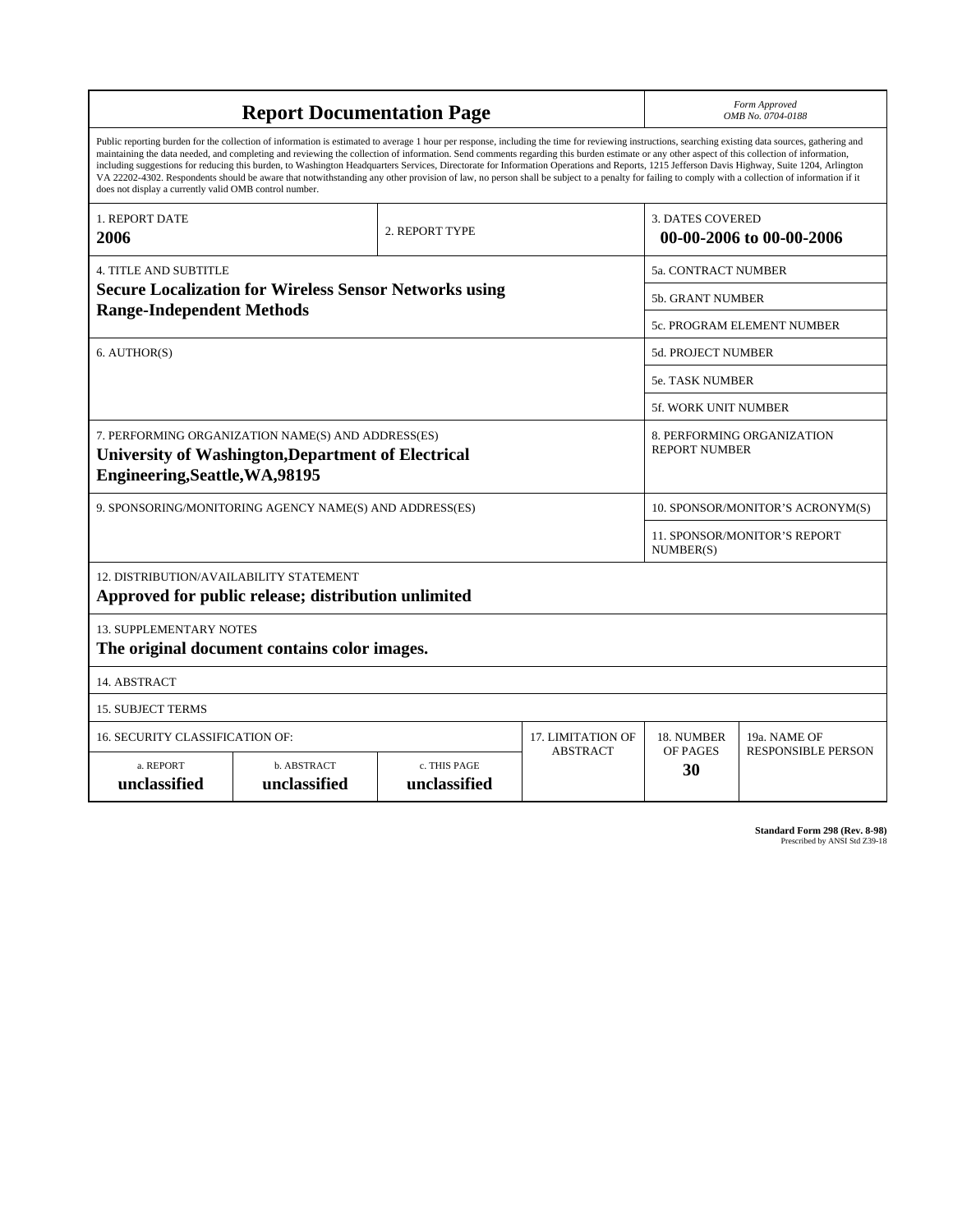| <b>Report Documentation Page</b>                                                                                                                                                                                                                                                                                                                                                                                                                                                                                                                                                                                                                                                                                                                                                                                                                                   |                             |                                           |                            |                | Form Approved<br>OMB No. 0704-0188                 |  |  |
|--------------------------------------------------------------------------------------------------------------------------------------------------------------------------------------------------------------------------------------------------------------------------------------------------------------------------------------------------------------------------------------------------------------------------------------------------------------------------------------------------------------------------------------------------------------------------------------------------------------------------------------------------------------------------------------------------------------------------------------------------------------------------------------------------------------------------------------------------------------------|-----------------------------|-------------------------------------------|----------------------------|----------------|----------------------------------------------------|--|--|
| Public reporting burden for the collection of information is estimated to average 1 hour per response, including the time for reviewing instructions, searching existing data sources, gathering and<br>maintaining the data needed, and completing and reviewing the collection of information. Send comments regarding this burden estimate or any other aspect of this collection of information,<br>including suggestions for reducing this burden, to Washington Headquarters Services, Directorate for Information Operations and Reports, 1215 Jefferson Davis Highway, Suite 1204, Arlington<br>VA 22202-4302. Respondents should be aware that notwithstanding any other provision of law, no person shall be subject to a penalty for failing to comply with a collection of information if it<br>does not display a currently valid OMB control number. |                             |                                           |                            |                |                                                    |  |  |
| <b>1. REPORT DATE</b><br>2006                                                                                                                                                                                                                                                                                                                                                                                                                                                                                                                                                                                                                                                                                                                                                                                                                                      |                             | <b>3. DATES COVERED</b><br>2. REPORT TYPE |                            |                | 00-00-2006 to 00-00-2006                           |  |  |
| <b>4. TITLE AND SUBTITLE</b>                                                                                                                                                                                                                                                                                                                                                                                                                                                                                                                                                                                                                                                                                                                                                                                                                                       |                             |                                           | <b>5a. CONTRACT NUMBER</b> |                |                                                    |  |  |
| <b>Secure Localization for Wireless Sensor Networks using</b><br><b>Range-Independent Methods</b>                                                                                                                                                                                                                                                                                                                                                                                                                                                                                                                                                                                                                                                                                                                                                                  |                             |                                           |                            |                | <b>5b. GRANT NUMBER</b>                            |  |  |
|                                                                                                                                                                                                                                                                                                                                                                                                                                                                                                                                                                                                                                                                                                                                                                                                                                                                    |                             |                                           |                            |                | 5c. PROGRAM ELEMENT NUMBER                         |  |  |
| 6. AUTHOR(S)                                                                                                                                                                                                                                                                                                                                                                                                                                                                                                                                                                                                                                                                                                                                                                                                                                                       |                             |                                           |                            |                | 5d. PROJECT NUMBER                                 |  |  |
|                                                                                                                                                                                                                                                                                                                                                                                                                                                                                                                                                                                                                                                                                                                                                                                                                                                                    |                             |                                           |                            |                | <b>5e. TASK NUMBER</b>                             |  |  |
|                                                                                                                                                                                                                                                                                                                                                                                                                                                                                                                                                                                                                                                                                                                                                                                                                                                                    |                             |                                           |                            |                | <b>5f. WORK UNIT NUMBER</b>                        |  |  |
| 7. PERFORMING ORGANIZATION NAME(S) AND ADDRESS(ES)<br><b>University of Washington, Department of Electrical</b><br>Engineering, Seattle, WA, 98195                                                                                                                                                                                                                                                                                                                                                                                                                                                                                                                                                                                                                                                                                                                 |                             |                                           |                            |                | 8. PERFORMING ORGANIZATION<br><b>REPORT NUMBER</b> |  |  |
| 9. SPONSORING/MONITORING AGENCY NAME(S) AND ADDRESS(ES)                                                                                                                                                                                                                                                                                                                                                                                                                                                                                                                                                                                                                                                                                                                                                                                                            |                             |                                           |                            |                | 10. SPONSOR/MONITOR'S ACRONYM(S)                   |  |  |
|                                                                                                                                                                                                                                                                                                                                                                                                                                                                                                                                                                                                                                                                                                                                                                                                                                                                    |                             |                                           |                            |                | <b>11. SPONSOR/MONITOR'S REPORT</b><br>NUMBER(S)   |  |  |
| 12. DISTRIBUTION/AVAILABILITY STATEMENT<br>Approved for public release; distribution unlimited                                                                                                                                                                                                                                                                                                                                                                                                                                                                                                                                                                                                                                                                                                                                                                     |                             |                                           |                            |                |                                                    |  |  |
| 13. SUPPLEMENTARY NOTES<br>The original document contains color images.                                                                                                                                                                                                                                                                                                                                                                                                                                                                                                                                                                                                                                                                                                                                                                                            |                             |                                           |                            |                |                                                    |  |  |
| 14. ABSTRACT                                                                                                                                                                                                                                                                                                                                                                                                                                                                                                                                                                                                                                                                                                                                                                                                                                                       |                             |                                           |                            |                |                                                    |  |  |
| <b>15. SUBJECT TERMS</b>                                                                                                                                                                                                                                                                                                                                                                                                                                                                                                                                                                                                                                                                                                                                                                                                                                           |                             |                                           |                            |                |                                                    |  |  |
| 16. SECURITY CLASSIFICATION OF:                                                                                                                                                                                                                                                                                                                                                                                                                                                                                                                                                                                                                                                                                                                                                                                                                                    |                             |                                           | 17. LIMITATION OF          | 18. NUMBER     | 19a. NAME OF                                       |  |  |
| a. REPORT<br>unclassified                                                                                                                                                                                                                                                                                                                                                                                                                                                                                                                                                                                                                                                                                                                                                                                                                                          | b. ABSTRACT<br>unclassified | c. THIS PAGE<br>unclassified              | <b>ABSTRACT</b>            | OF PAGES<br>30 | <b>RESPONSIBLE PERSON</b>                          |  |  |

| <b>Standard Form 298 (Rev. 8-98)</b> |                               |  |  |
|--------------------------------------|-------------------------------|--|--|
|                                      | Prescribed by ANSI Std Z39-18 |  |  |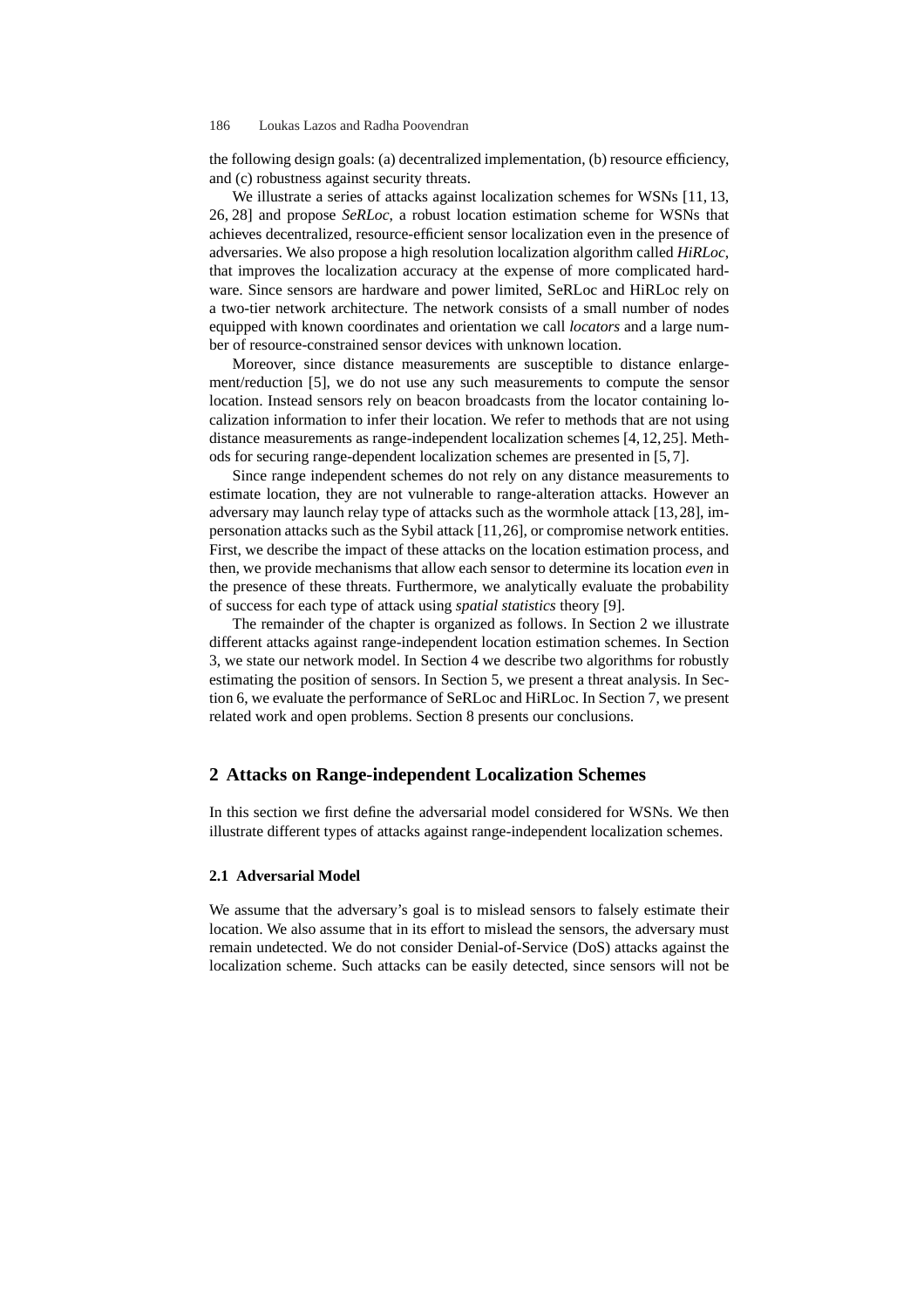the following design goals: (a) decentralized implementation, (b) resource efficiency, and (c) robustness against security threats.

We illustrate a series of attacks against localization schemes for WSNs [11, 13, 26, 28] and propose *SeRLoc*, a robust location estimation scheme for WSNs that achieves decentralized, resource-efficient sensor localization even in the presence of adversaries. We also propose a high resolution localization algorithm called *HiRLoc*, that improves the localization accuracy at the expense of more complicated hardware. Since sensors are hardware and power limited, SeRLoc and HiRLoc rely on a two-tier network architecture. The network consists of a small number of nodes equipped with known coordinates and orientation we call *locators* and a large number of resource-constrained sensor devices with unknown location.

Moreover, since distance measurements are susceptible to distance enlargement/reduction [5], we do not use any such measurements to compute the sensor location. Instead sensors rely on beacon broadcasts from the locator containing localization information to infer their location. We refer to methods that are not using distance measurements as range-independent localization schemes [4,12,25]. Methods for securing range-dependent localization schemes are presented in [5, 7].

Since range independent schemes do not rely on any distance measurements to estimate location, they are not vulnerable to range-alteration attacks. However an adversary may launch relay type of attacks such as the wormhole attack [13,28], impersonation attacks such as the Sybil attack [11,26], or compromise network entities. First, we describe the impact of these attacks on the location estimation process, and then, we provide mechanisms that allow each sensor to determine its location *even* in the presence of these threats. Furthermore, we analytically evaluate the probability of success for each type of attack using *spatial statistics* theory [9].

The remainder of the chapter is organized as follows. In Section 2 we illustrate different attacks against range-independent location estimation schemes. In Section 3, we state our network model. In Section 4 we describe two algorithms for robustly estimating the position of sensors. In Section 5, we present a threat analysis. In Section 6, we evaluate the performance of SeRLoc and HiRLoc. In Section 7, we present related work and open problems. Section 8 presents our conclusions.

## **2 Attacks on Range-independent Localization Schemes**

In this section we first define the adversarial model considered for WSNs. We then illustrate different types of attacks against range-independent localization schemes.

## **2.1 Adversarial Model**

We assume that the adversary's goal is to mislead sensors to falsely estimate their location. We also assume that in its effort to mislead the sensors, the adversary must remain undetected. We do not consider Denial-of-Service (DoS) attacks against the localization scheme. Such attacks can be easily detected, since sensors will not be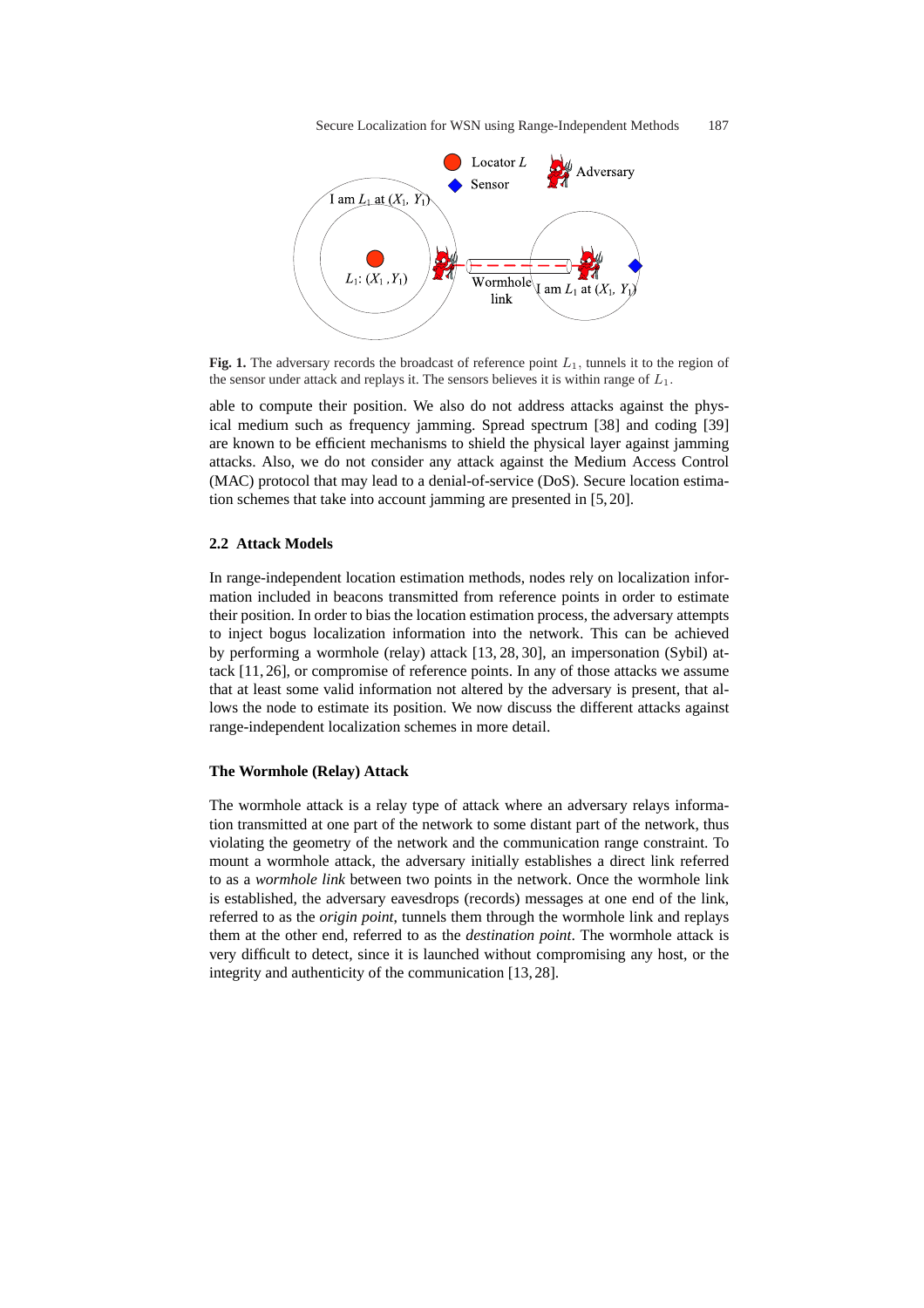

**Fig. 1.** The adversary records the broadcast of reference point  $L_1$ , tunnels it to the region of the sensor under attack and replays it. The sensors believes it is within range of  $L_1$ .

able to compute their position. We also do not address attacks against the physical medium such as frequency jamming. Spread spectrum [38] and coding [39] are known to be efficient mechanisms to shield the physical layer against jamming attacks. Also, we do not consider any attack against the Medium Access Control (MAC) protocol that may lead to a denial-of-service (DoS). Secure location estimation schemes that take into account jamming are presented in [5, 20].

#### **2.2 Attack Models**

In range-independent location estimation methods, nodes rely on localization information included in beacons transmitted from reference points in order to estimate their position. In order to bias the location estimation process, the adversary attempts to inject bogus localization information into the network. This can be achieved by performing a wormhole (relay) attack [13, 28, 30], an impersonation (Sybil) attack [11, 26], or compromise of reference points. In any of those attacks we assume that at least some valid information not altered by the adversary is present, that allows the node to estimate its position. We now discuss the different attacks against range-independent localization schemes in more detail.

## **The Wormhole (Relay) Attack**

The wormhole attack is a relay type of attack where an adversary relays information transmitted at one part of the network to some distant part of the network, thus violating the geometry of the network and the communication range constraint. To mount a wormhole attack, the adversary initially establishes a direct link referred to as a *wormhole link* between two points in the network. Once the wormhole link is established, the adversary eavesdrops (records) messages at one end of the link, referred to as the *origin point*, tunnels them through the wormhole link and replays them at the other end, referred to as the *destination point*. The wormhole attack is very difficult to detect, since it is launched without compromising any host, or the integrity and authenticity of the communication [13, 28].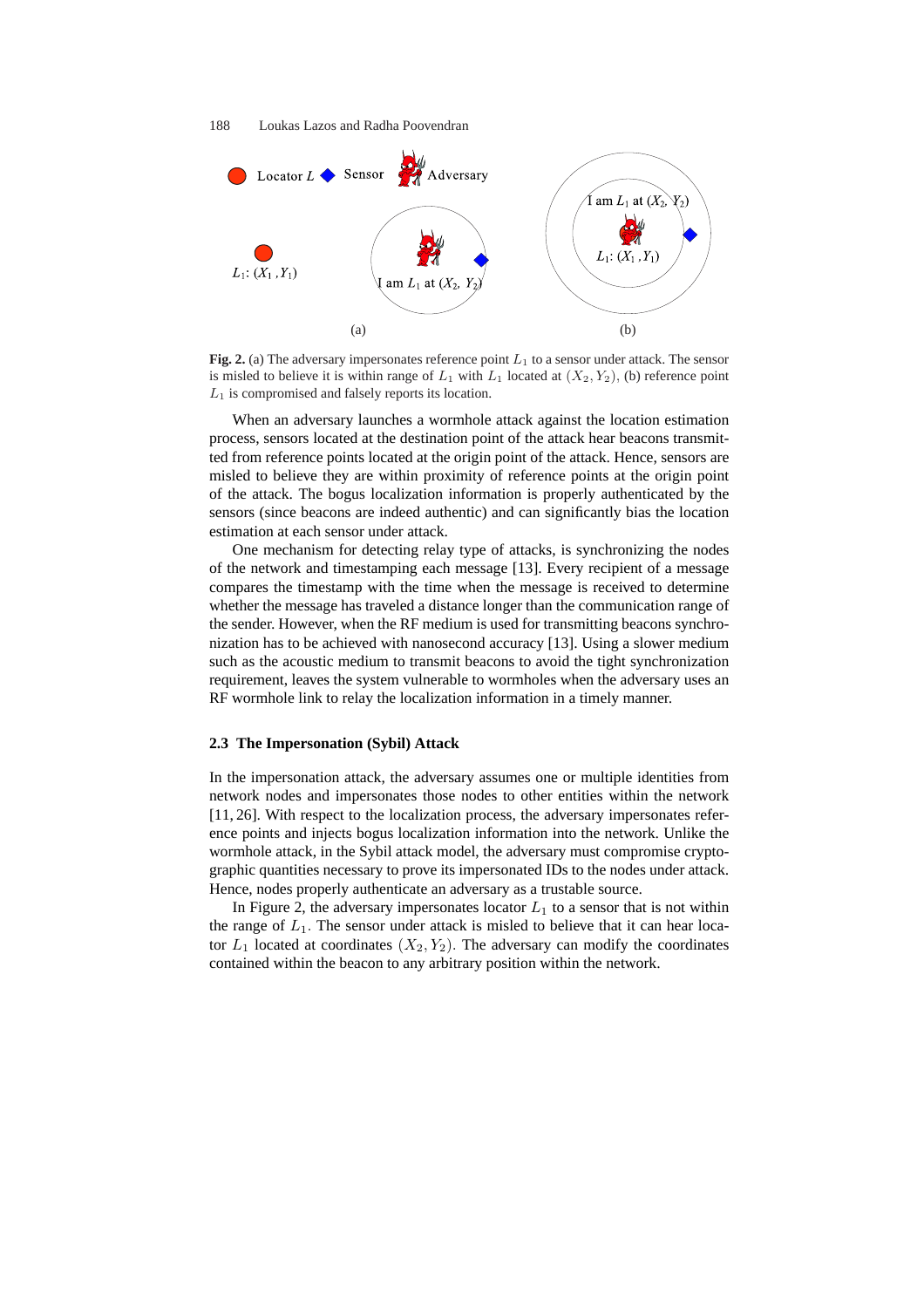

Fig. 2. (a) The adversary impersonates reference point  $L_1$  to a sensor under attack. The sensor is misled to believe it is within range of  $L_1$  with  $L_1$  located at  $(X_2, Y_2)$ , (b) reference point  $L_1$  is compromised and falsely reports its location.

When an adversary launches a wormhole attack against the location estimation process, sensors located at the destination point of the attack hear beacons transmitted from reference points located at the origin point of the attack. Hence, sensors are misled to believe they are within proximity of reference points at the origin point of the attack. The bogus localization information is properly authenticated by the sensors (since beacons are indeed authentic) and can significantly bias the location estimation at each sensor under attack.

One mechanism for detecting relay type of attacks, is synchronizing the nodes of the network and timestamping each message [13]. Every recipient of a message compares the timestamp with the time when the message is received to determine whether the message has traveled a distance longer than the communication range of the sender. However, when the RF medium is used for transmitting beacons synchronization has to be achieved with nanosecond accuracy [13]. Using a slower medium such as the acoustic medium to transmit beacons to avoid the tight synchronization requirement, leaves the system vulnerable to wormholes when the adversary uses an RF wormhole link to relay the localization information in a timely manner.

#### **2.3 The Impersonation (Sybil) Attack**

In the impersonation attack, the adversary assumes one or multiple identities from network nodes and impersonates those nodes to other entities within the network [11, 26]. With respect to the localization process, the adversary impersonates reference points and injects bogus localization information into the network. Unlike the wormhole attack, in the Sybil attack model, the adversary must compromise cryptographic quantities necessary to prove its impersonated IDs to the nodes under attack. Hence, nodes properly authenticate an adversary as a trustable source.

In Figure 2, the adversary impersonates locator  $L_1$  to a sensor that is not within the range of  $L_1$ . The sensor under attack is misled to believe that it can hear locator  $L_1$  located at coordinates  $(X_2, Y_2)$ . The adversary can modify the coordinates contained within the beacon to any arbitrary position within the network.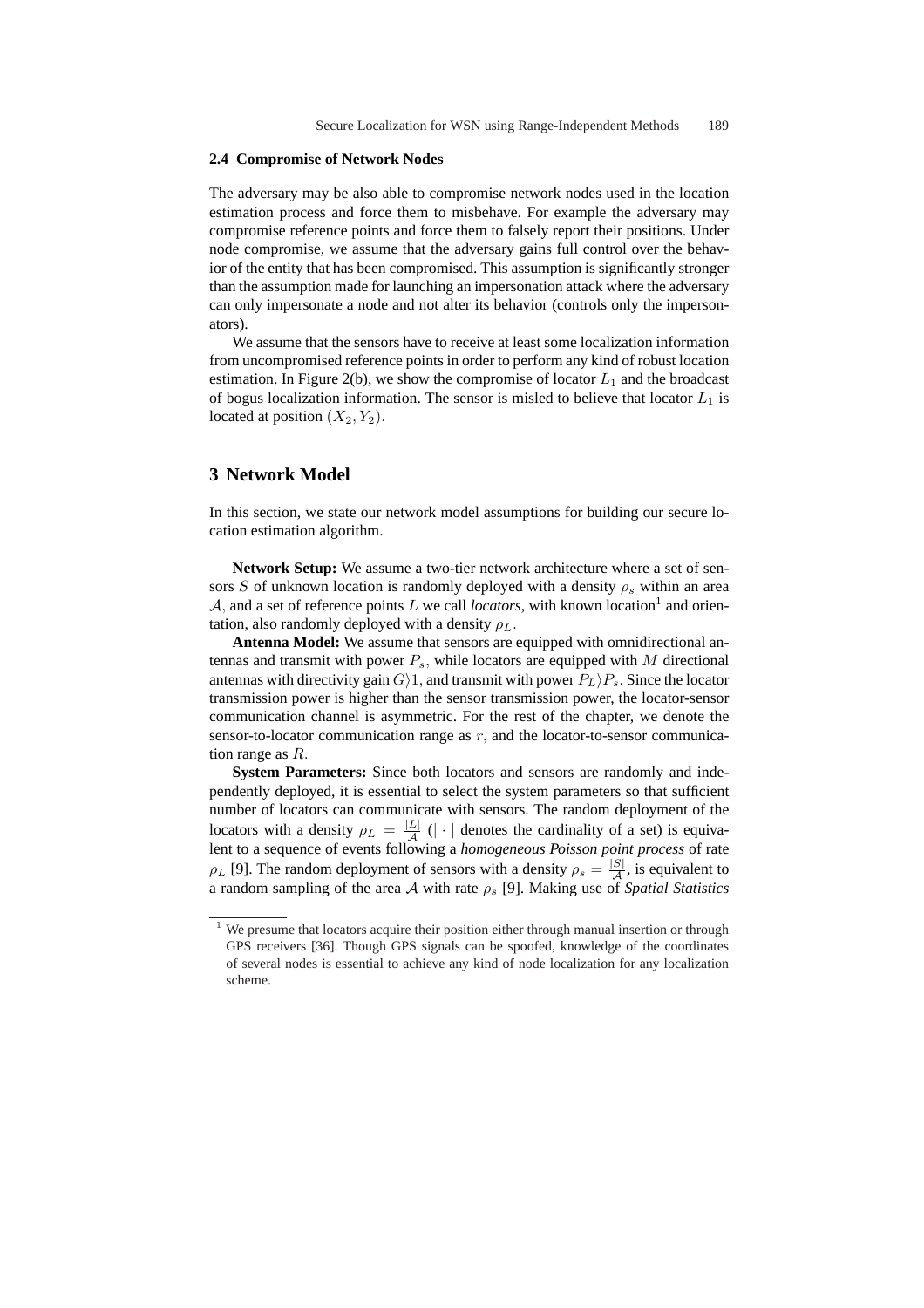#### **2.4 Compromise of Network Nodes**

The adversary may be also able to compromise network nodes used in the location estimation process and force them to misbehave. For example the adversary may compromise reference points and force them to falsely report their positions. Under node compromise, we assume that the adversary gains full control over the behavior of the entity that has been compromised. This assumption is significantly stronger than the assumption made for launching an impersonation attack where the adversary can only impersonate a node and not alter its behavior (controls only the impersonators).

We assume that the sensors have to receive at least some localization information from uncompromised reference points in order to perform any kind of robust location estimation. In Figure 2(b), we show the compromise of locator  $L_1$  and the broadcast of bogus localization information. The sensor is misled to believe that locator  $L_1$  is located at position  $(X_2, Y_2)$ .

## **3 Network Model**

In this section, we state our network model assumptions for building our secure location estimation algorithm.

**Network Setup:** We assume a two-tier network architecture where a set of sensors S of unknown location is randomly deployed with a density  $\rho_s$  within an area  $A$ , and a set of reference points  $L$  we call *locators*, with known location<sup>1</sup> and orientation, also randomly deployed with a density  $\rho_L$ .

**Antenna Model:** We assume that sensors are equipped with omnidirectional antennas and transmit with power  $P_s$ , while locators are equipped with M directional antennas with directivity gain  $G\backslash 1$ , and transmit with power  $P_L\backslash P_s$ . Since the locator transmission power is higher than the sensor transmission power, the locator-sensor communication channel is asymmetric. For the rest of the chapter, we denote the sensor-to-locator communication range as  $r$ , and the locator-to-sensor communication range as  $R$ .

**System Parameters:** Since both locators and sensors are randomly and independently deployed, it is essential to select the system parameters so that sufficient number of locators can communicate with sensors. The random deployment of the locators with a density  $\rho_L = \frac{|L|}{4}$  $\frac{L}{\mathcal{A}}$  (| · | denotes the cardinality of a set) is equivalent to a sequence of events following a *homogeneous Poisson point process* of rate  $\rho_L$  [9]. The random deployment of sensors with a density  $\rho_s = \frac{|S|}{4}$  $\frac{S}{A}$ , is equivalent to a random sampling of the area  $A$  with rate  $\rho_s$  [9]. Making use of *Spatial Statistics* 

 $1$  We presume that locators acquire their position either through manual insertion or through GPS receivers [36]. Though GPS signals can be spoofed, knowledge of the coordinates of several nodes is essential to achieve any kind of node localization for any localization scheme.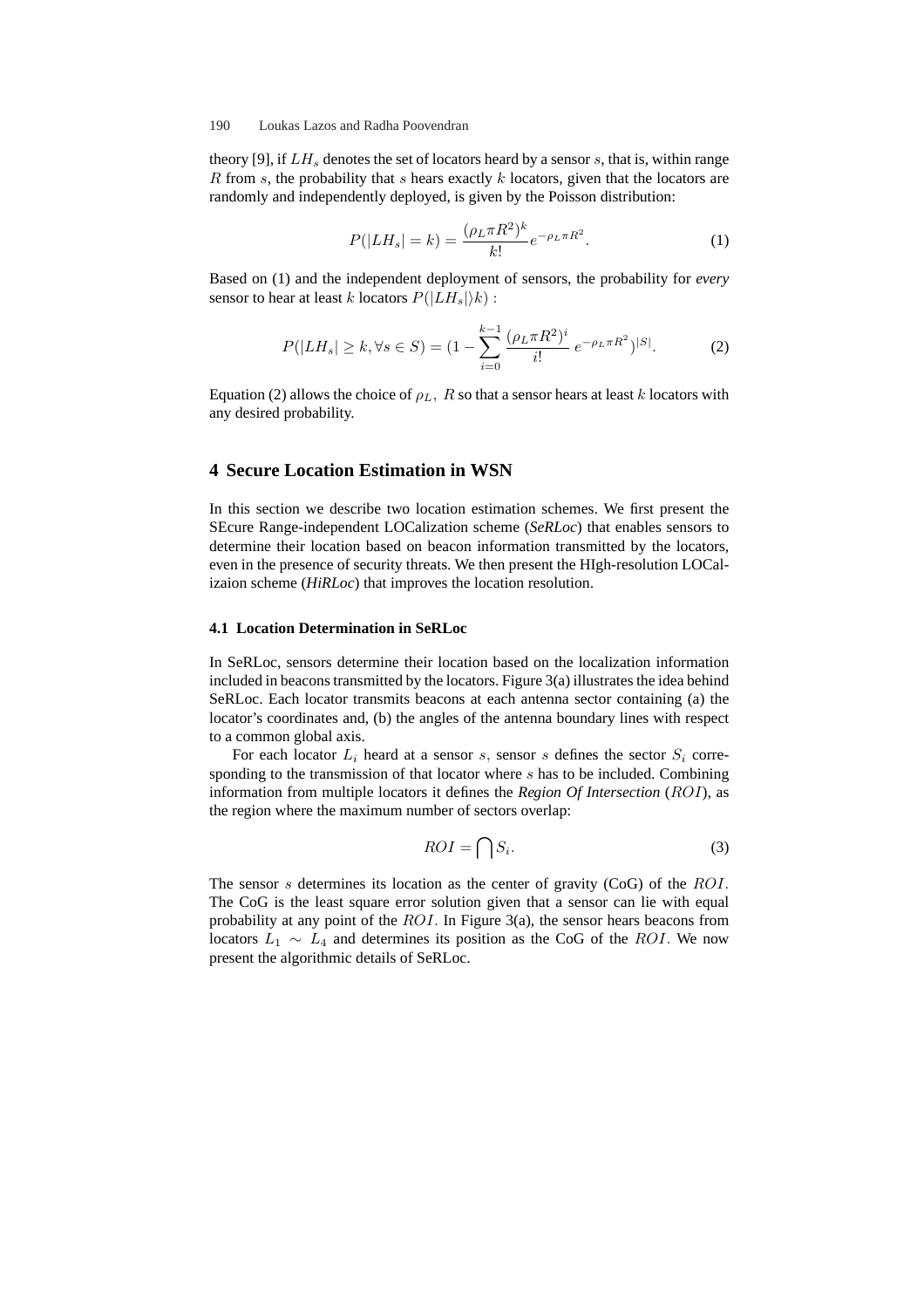theory [9], if  $LH_s$  denotes the set of locators heard by a sensor s, that is, within range R from s, the probability that s hears exactly  $k$  locators, given that the locators are randomly and independently deployed, is given by the Poisson distribution:

$$
P(|LH_s| = k) = \frac{(\rho_L \pi R^2)^k}{k!} e^{-\rho_L \pi R^2}.
$$
 (1)

Based on (1) and the independent deployment of sensors, the probability for *every* sensor to hear at least k locators  $P(|LH_s|)$  :

$$
P(|LH_s| \ge k, \forall s \in S) = (1 - \sum_{i=0}^{k-1} \frac{(\rho_L \pi R^2)^i}{i!} e^{-\rho_L \pi R^2})^{|S|}.
$$
 (2)

Equation (2) allows the choice of  $\rho_L$ , R so that a sensor hears at least k locators with any desired probability.

## **4 Secure Location Estimation in WSN**

In this section we describe two location estimation schemes. We first present the SEcure Range-independent LOCalization scheme (*SeRLoc*) that enables sensors to determine their location based on beacon information transmitted by the locators, even in the presence of security threats. We then present the HIgh-resolution LOCalizaion scheme (*HiRLoc*) that improves the location resolution.

#### **4.1 Location Determination in SeRLoc**

In SeRLoc, sensors determine their location based on the localization information included in beacons transmitted by the locators. Figure 3(a) illustrates the idea behind SeRLoc. Each locator transmits beacons at each antenna sector containing (a) the locator's coordinates and, (b) the angles of the antenna boundary lines with respect to a common global axis.

For each locator  $L_i$  heard at a sensor s, sensor s defines the sector  $S_i$  corresponding to the transmission of that locator where  $s$  has to be included. Combining information from multiple locators it defines the *Region Of Intersection* (ROI), as the region where the maximum number of sectors overlap:

$$
ROI = \bigcap S_i. \tag{3}
$$

The sensor s determines its location as the center of gravity (CoG) of the  $ROI$ . The CoG is the least square error solution given that a sensor can lie with equal probability at any point of the  $ROI$ . In Figure 3(a), the sensor hears beacons from locators  $L_1 \sim L_4$  and determines its position as the CoG of the ROI. We now present the algorithmic details of SeRLoc.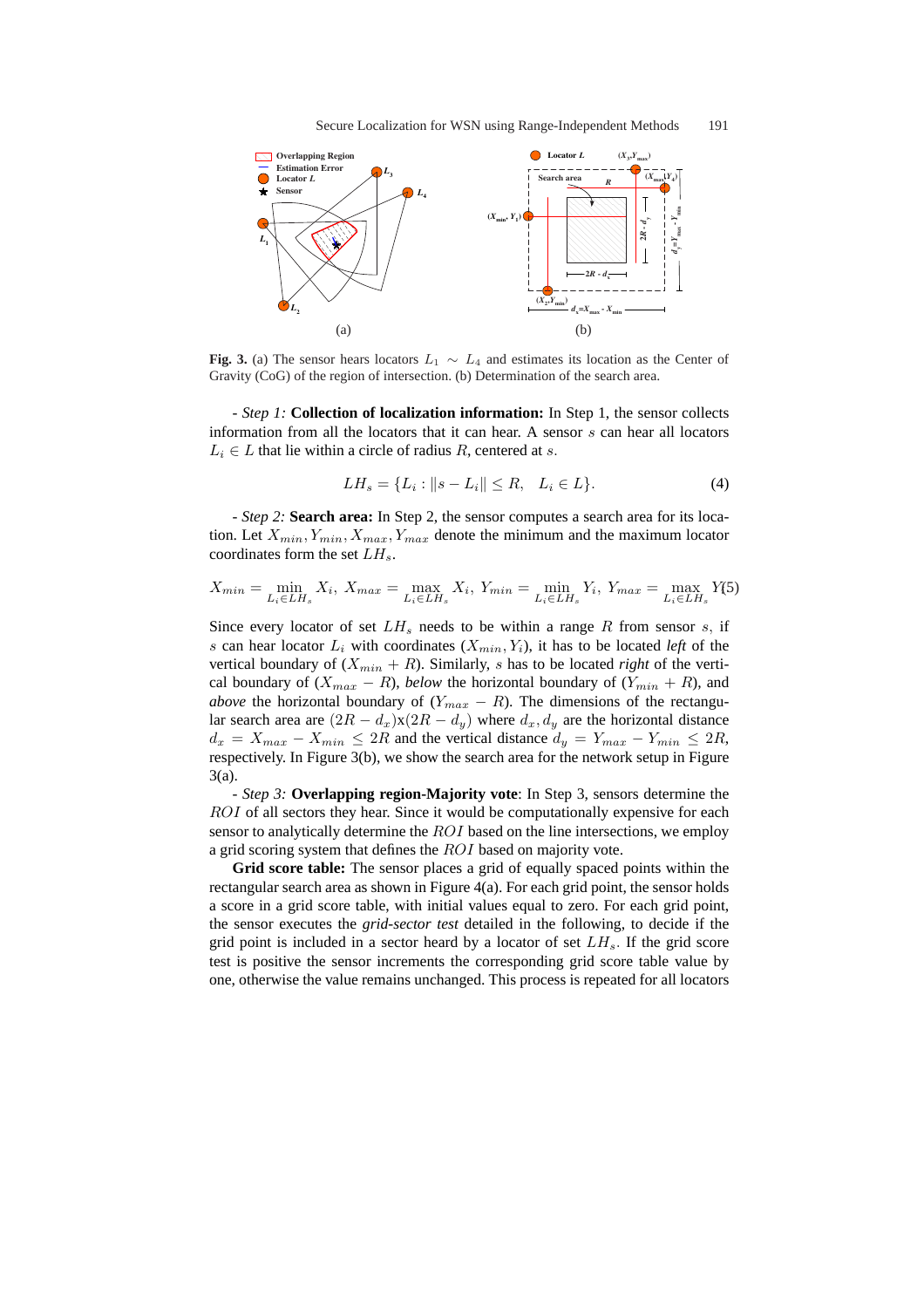

Fig. 3. (a) The sensor hears locators  $L_1 \sim L_4$  and estimates its location as the Center of Gravity (CoG) of the region of intersection. (b) Determination of the search area.

- *Step 1:* **Collection of localization information:** In Step 1, the sensor collects information from all the locators that it can hear. A sensor s can hear all locators  $L_i \in L$  that lie within a circle of radius R, centered at s.

$$
LH_s = \{ L_i : ||s - L_i|| \le R, \quad L_i \in L \}. \tag{4}
$$

- *Step 2:* **Search area:** In Step 2, the sensor computes a search area for its location. Let  $X_{min}, Y_{min}, X_{max}, Y_{max}$  denote the minimum and the maximum locator coordinates form the set  $LH_s$ .

$$
X_{min} = \min_{L_i \in LH_s} X_i, \ X_{max} = \max_{L_i \in LH_s} X_i, \ Y_{min} = \min_{L_i \in LH_s} Y_i, \ Y_{max} = \max_{L_i \in LH_s} Y_i(5)
$$

Since every locator of set  $LH_s$  needs to be within a range R from sensor s, if s can hear locator  $L_i$  with coordinates  $(X_{min}, Y_i)$ , it has to be located *left* of the vertical boundary of  $(X_{min} + R)$ . Similarly, *s* has to be located *right* of the vertical boundary of  $(X_{max} - R)$ , *below* the horizontal boundary of  $(Y_{min} + R)$ , and *above* the horizontal boundary of  $(Y_{max} - R)$ . The dimensions of the rectangular search area are  $(2R - d_x)x(2R - d_y)$  where  $d_x, d_y$  are the horizontal distance  $d_x = X_{max} - X_{min} \leq 2R$  and the vertical distance  $d_y = Y_{max} - Y_{min} \leq 2R$ , respectively. In Figure 3(b), we show the search area for the network setup in Figure 3(a).

- *Step 3:* **Overlapping region-Majority vote**: In Step 3, sensors determine the ROI of all sectors they hear. Since it would be computationally expensive for each sensor to analytically determine the ROI based on the line intersections, we employ a grid scoring system that defines the ROI based on majority vote.

**Grid score table:** The sensor places a grid of equally spaced points within the rectangular search area as shown in Figure 4(a). For each grid point, the sensor holds a score in a grid score table, with initial values equal to zero. For each grid point, the sensor executes the *grid-sector test* detailed in the following, to decide if the grid point is included in a sector heard by a locator of set  $LH_s$ . If the grid score test is positive the sensor increments the corresponding grid score table value by one, otherwise the value remains unchanged. This process is repeated for all locators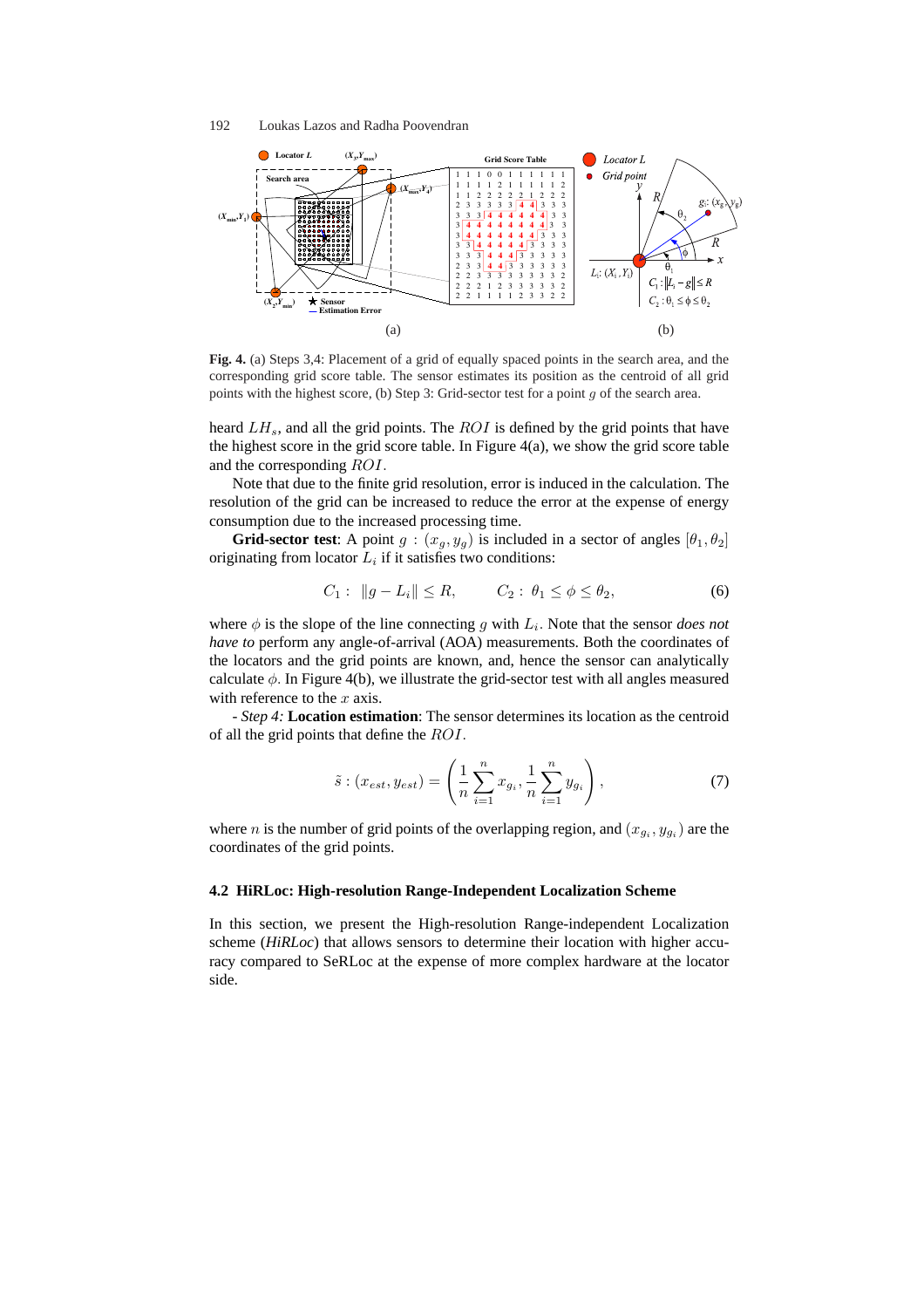

**Fig. 4.** (a) Steps 3,4: Placement of a grid of equally spaced points in the search area, and the corresponding grid score table. The sensor estimates its position as the centroid of all grid points with the highest score, (b) Step 3: Grid-sector test for a point  $g$  of the search area.

heard  $LH_s$ , and all the grid points. The  $ROI$  is defined by the grid points that have the highest score in the grid score table. In Figure 4(a), we show the grid score table and the corresponding ROI.

Note that due to the finite grid resolution, error is induced in the calculation. The resolution of the grid can be increased to reduce the error at the expense of energy consumption due to the increased processing time.

**Grid-sector test**: A point  $g : (x_a, y_a)$  is included in a sector of angles  $[\theta_1, \theta_2]$ originating from locator  $L_i$  if it satisfies two conditions:

$$
C_1: \|g - L_i\| \le R, \qquad C_2: \theta_1 \le \phi \le \theta_2,\tag{6}
$$

where  $\phi$  is the slope of the line connecting g with  $L_i$ . Note that the sensor *does not have to* perform any angle-of-arrival (AOA) measurements. Both the coordinates of the locators and the grid points are known, and, hence the sensor can analytically calculate  $\phi$ . In Figure 4(b), we illustrate the grid-sector test with all angles measured with reference to the  $x$  axis.

- *Step 4:* **Location estimation**: The sensor determines its location as the centroid of all the grid points that define the ROI.

$$
\tilde{s} : (x_{est}, y_{est}) = \left(\frac{1}{n} \sum_{i=1}^{n} x_{g_i}, \frac{1}{n} \sum_{i=1}^{n} y_{g_i}\right),\tag{7}
$$

where *n* is the number of grid points of the overlapping region, and  $(x_{g_i}, y_{g_i})$  are the coordinates of the grid points.

## **4.2 HiRLoc: High-resolution Range-Independent Localization Scheme**

In this section, we present the High-resolution Range-independent Localization scheme (*HiRLoc*) that allows sensors to determine their location with higher accuracy compared to SeRLoc at the expense of more complex hardware at the locator side.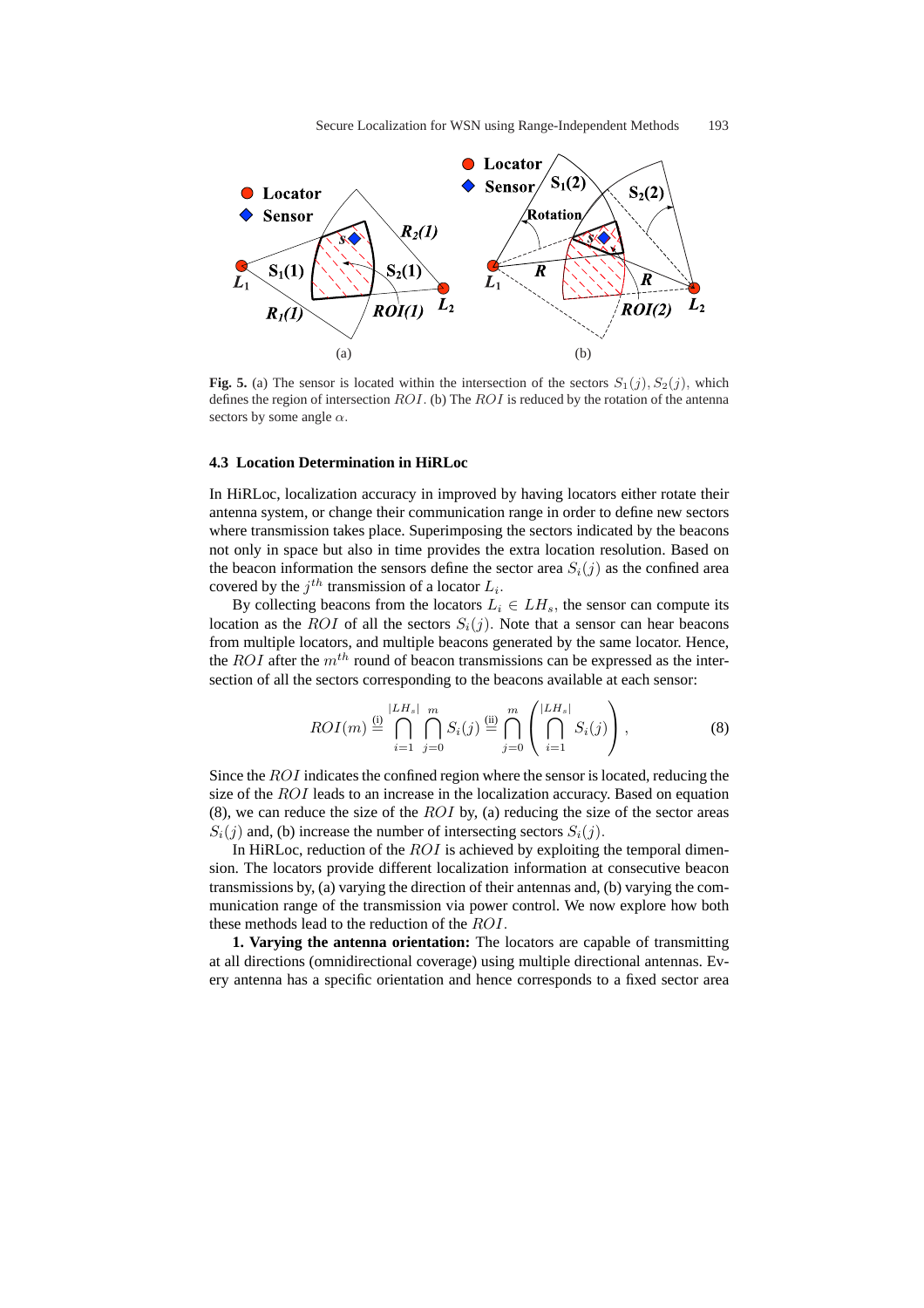

**Fig. 5.** (a) The sensor is located within the intersection of the sectors  $S_1(j)$ ,  $S_2(j)$ , which defines the region of intersection  $ROI$ . (b) The  $ROI$  is reduced by the rotation of the antenna sectors by some angle  $\alpha$ .

#### **4.3 Location Determination in HiRLoc**

In HiRLoc, localization accuracy in improved by having locators either rotate their antenna system, or change their communication range in order to define new sectors where transmission takes place. Superimposing the sectors indicated by the beacons not only in space but also in time provides the extra location resolution. Based on the beacon information the sensors define the sector area  $S_i(j)$  as the confined area covered by the  $j^{th}$  transmission of a locator  $L_i$ .

By collecting beacons from the locators  $L_i \in LH_s$ , the sensor can compute its location as the ROI of all the sectors  $S_i(j)$ . Note that a sensor can hear beacons from multiple locators, and multiple beacons generated by the same locator. Hence, the  $ROI$  after the  $m^{th}$  round of beacon transmissions can be expressed as the intersection of all the sectors corresponding to the beacons available at each sensor:

$$
ROI(m) \stackrel{\text{(i)}}{=} \bigcap_{i=1}^{|LH_s|} \bigcap_{j=0}^m S_i(j) \stackrel{\text{(ii)}}{=} \bigcap_{j=0}^m \left( \bigcap_{i=1}^{|LH_s|} S_i(j) \right), \tag{8}
$$

Since the  $ROI$  indicates the confined region where the sensor is located, reducing the size of the ROI leads to an increase in the localization accuracy. Based on equation (8), we can reduce the size of the  $ROI$  by, (a) reducing the size of the sector areas  $S_i(j)$  and, (b) increase the number of intersecting sectors  $S_i(j)$ .

In HiRLoc, reduction of the  $ROI$  is achieved by exploiting the temporal dimension. The locators provide different localization information at consecutive beacon transmissions by, (a) varying the direction of their antennas and, (b) varying the communication range of the transmission via power control. We now explore how both these methods lead to the reduction of the ROI.

**1. Varying the antenna orientation:** The locators are capable of transmitting at all directions (omnidirectional coverage) using multiple directional antennas. Every antenna has a specific orientation and hence corresponds to a fixed sector area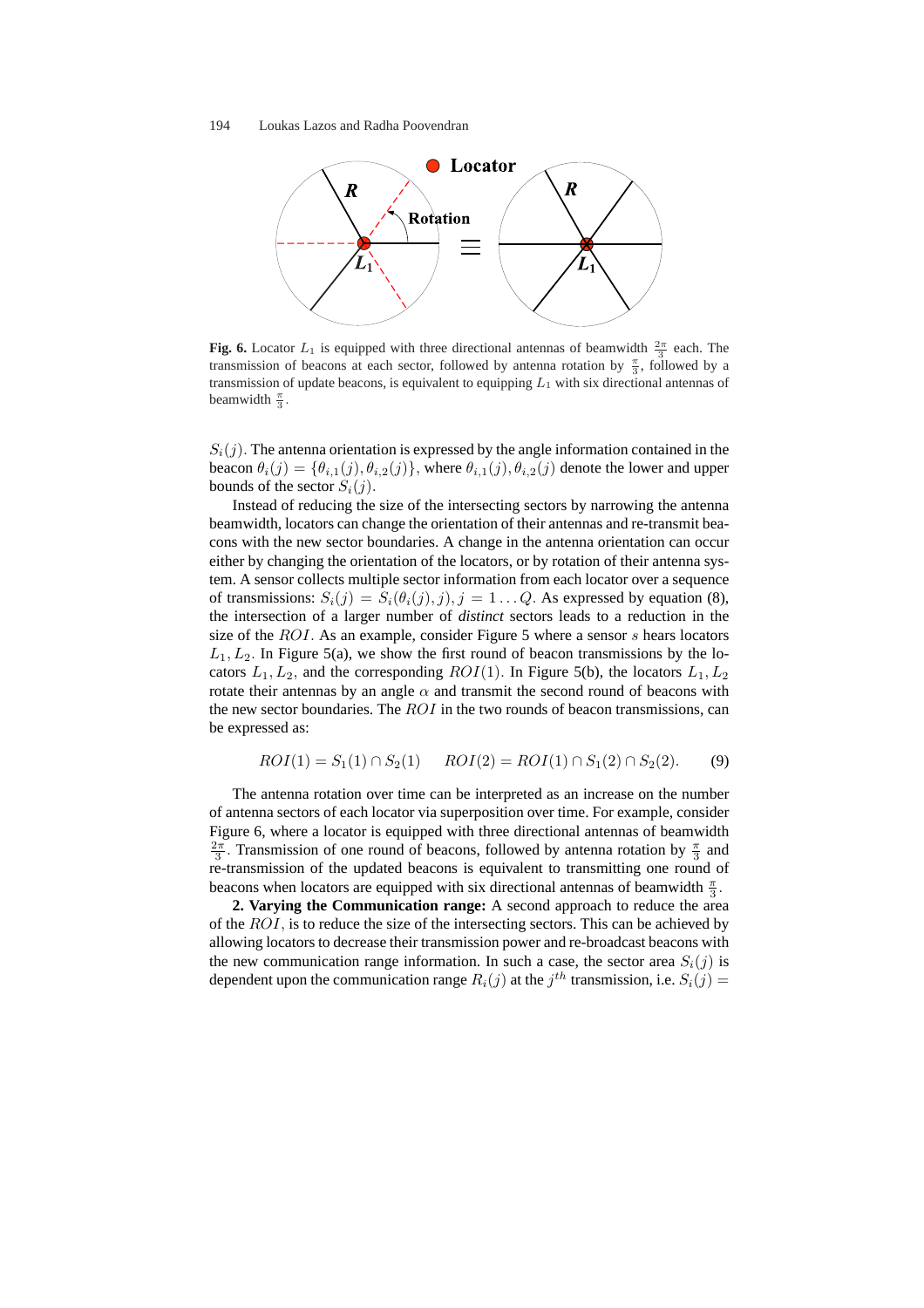

**Fig. 6.** Locator  $L_1$  is equipped with three directional antennas of beamwidth  $\frac{2\pi}{3}$  each. The transmission of beacons at each sector, followed by antenna rotation by  $\frac{\pi}{3}$ , followed by a transmission of update beacons, is equivalent to equipping  $L_1$  with six directional antennas of beamwidth  $\frac{\pi}{3}$ .

 $S_i(j)$ . The antenna orientation is expressed by the angle information contained in the beacon  $\theta_i(j) = \{\theta_{i,1}(j), \theta_{i,2}(j)\}\,$ , where  $\theta_{i,1}(j), \theta_{i,2}(j)\,$  denote the lower and upper bounds of the sector  $S_i(i)$ .

Instead of reducing the size of the intersecting sectors by narrowing the antenna beamwidth, locators can change the orientation of their antennas and re-transmit beacons with the new sector boundaries. A change in the antenna orientation can occur either by changing the orientation of the locators, or by rotation of their antenna system. A sensor collects multiple sector information from each locator over a sequence of transmissions:  $S_i(j) = S_i(\theta_i(j), j), j = 1 \dots Q$ . As expressed by equation (8), the intersection of a larger number of *distinct* sectors leads to a reduction in the size of the  $ROI$ . As an example, consider Figure 5 where a sensor  $s$  hears locators  $L_1, L_2$ . In Figure 5(a), we show the first round of beacon transmissions by the locators  $L_1, L_2$ , and the corresponding  $ROI(1)$ . In Figure 5(b), the locators  $L_1, L_2$ rotate their antennas by an angle  $\alpha$  and transmit the second round of beacons with the new sector boundaries. The  $ROI$  in the two rounds of beacon transmissions, can be expressed as:

$$
ROI(1) = S_1(1) \cap S_2(1) \qquad ROI(2) = ROI(1) \cap S_1(2) \cap S_2(2). \tag{9}
$$

The antenna rotation over time can be interpreted as an increase on the number of antenna sectors of each locator via superposition over time. For example, consider Figure 6, where a locator is equipped with three directional antennas of beamwidth  $\frac{2\pi}{3}$ . Transmission of one round of beacons, followed by antenna rotation by  $\frac{\pi}{3}$  and re-transmission of the updated beacons is equivalent to transmitting one round of beacons when locators are equipped with six directional antennas of beamwidth  $\frac{\pi}{3}$ .

**2. Varying the Communication range:** A second approach to reduce the area of the  $ROI$ , is to reduce the size of the intersecting sectors. This can be achieved by allowing locators to decrease their transmission power and re-broadcast beacons with the new communication range information. In such a case, the sector area  $S_i(j)$  is dependent upon the communication range  $R_i(j)$  at the  $j^{th}$  transmission, i.e.  $S_i(j)$  =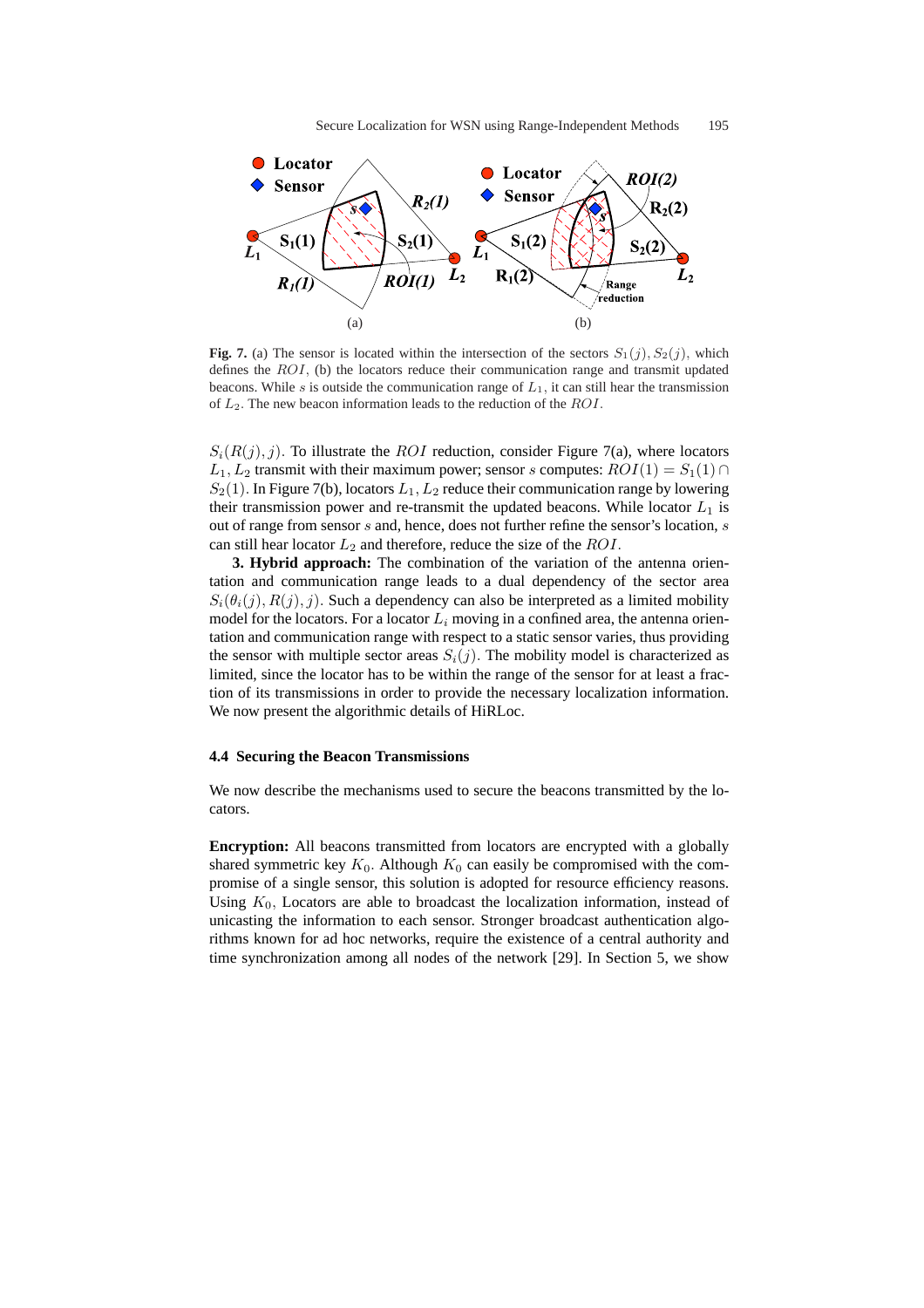

**Fig. 7.** (a) The sensor is located within the intersection of the sectors  $S_1(i)$ ,  $S_2(i)$ , which defines the  $ROI$ , (b) the locators reduce their communication range and transmit updated beacons. While s is outside the communication range of  $L_1$ , it can still hear the transmission of  $L_2$ . The new beacon information leads to the reduction of the  $ROI$ .

 $S_i(R(j), j)$ . To illustrate the ROI reduction, consider Figure 7(a), where locators  $L_1, L_2$  transmit with their maximum power; sensor s computes:  $ROI(1) = S_1(1) \cap$  $S_2(1)$ . In Figure 7(b), locators  $L_1, L_2$  reduce their communication range by lowering their transmission power and re-transmit the updated beacons. While locator  $L_1$  is out of range from sensor  $s$  and, hence, does not further refine the sensor's location,  $s$ can still hear locator  $L_2$  and therefore, reduce the size of the ROI.

**3. Hybrid approach:** The combination of the variation of the antenna orientation and communication range leads to a dual dependency of the sector area  $S_i(\theta_i(j), R(j), j)$ . Such a dependency can also be interpreted as a limited mobility model for the locators. For a locator  $L<sub>i</sub>$  moving in a confined area, the antenna orientation and communication range with respect to a static sensor varies, thus providing the sensor with multiple sector areas  $S_i(j)$ . The mobility model is characterized as limited, since the locator has to be within the range of the sensor for at least a fraction of its transmissions in order to provide the necessary localization information. We now present the algorithmic details of HiRLoc.

#### **4.4 Securing the Beacon Transmissions**

We now describe the mechanisms used to secure the beacons transmitted by the locators.

**Encryption:** All beacons transmitted from locators are encrypted with a globally shared symmetric key  $K_0$ . Although  $K_0$  can easily be compromised with the compromise of a single sensor, this solution is adopted for resource efficiency reasons. Using  $K_0$ , Locators are able to broadcast the localization information, instead of unicasting the information to each sensor. Stronger broadcast authentication algorithms known for ad hoc networks, require the existence of a central authority and time synchronization among all nodes of the network [29]. In Section 5, we show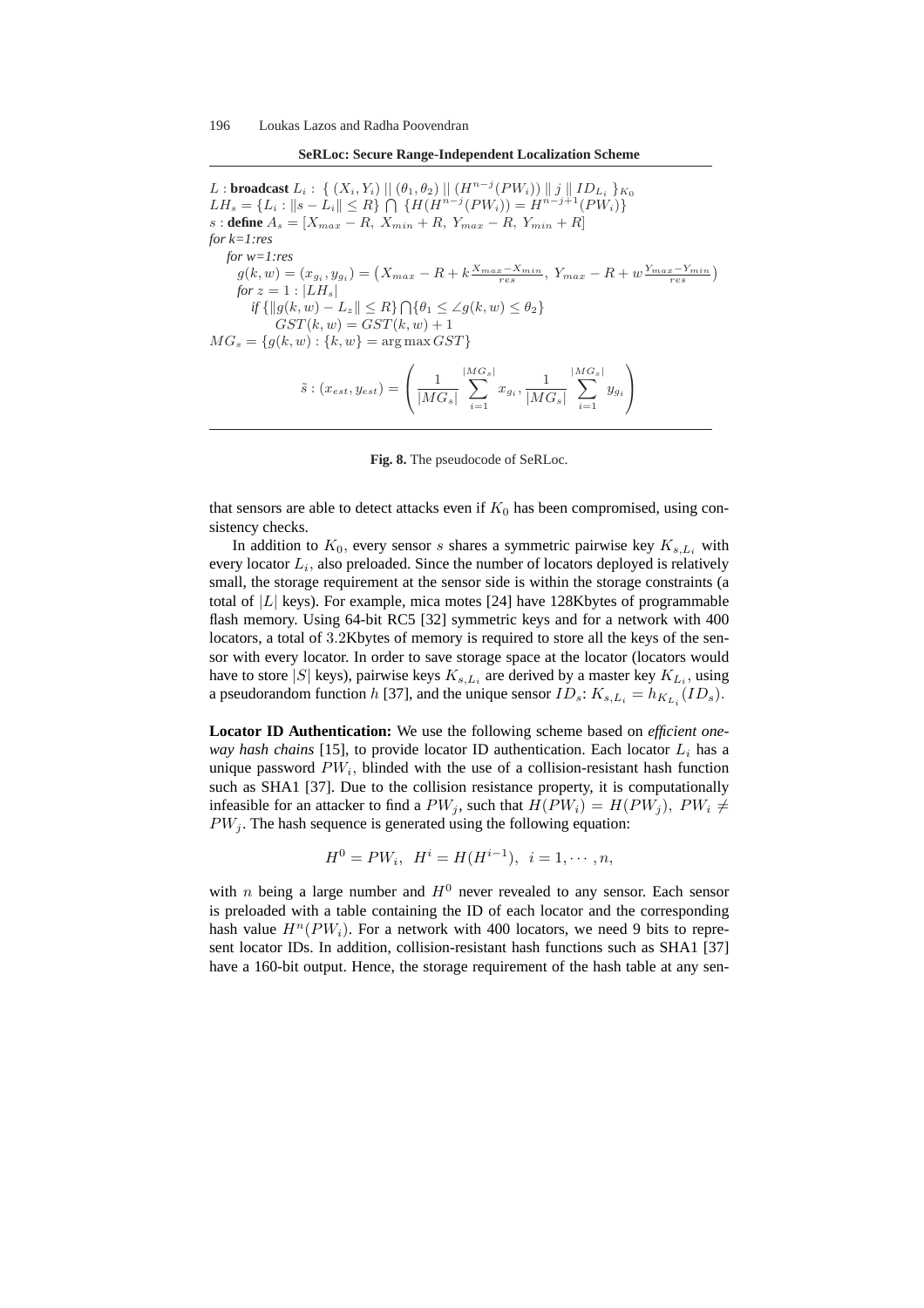

L : **broadcast**  $L_i$  :  $\left\{ (X_i, Y_i) \mid \mid (\theta_1, \theta_2) \mid \mid (H^{n-j}(PW_i)) \mid \mid j \mid \mid ID_{L_i} \right\}_{K_0}$  $LH_s = \{L_i : ||s - L_i|| \le R\} \cap \{H(H^{n-j}(PW_i)) = H^{n-j+1}(PW_i)\}\$ s : **define**  $A_s = [X_{max} - R, X_{min} + R, Y_{max} - R, Y_{min} + R]$ *for k=1:res for w=1:res*  $g(k, w) = (x_{g_i}, y_{g_i}) = (X_{max} - R + k \frac{X_{max} - X_{min}}{res}, Y_{max} - R + w \frac{Y_{max} - Y_{min}}{res})$ *for*  $z = 1 : |LH_s|$ *if* { $||g(k, w) - L_z|| \le R$ }  $\bigcap {θ_1 \le \angle g(k, w) \le θ_2}$  $GST(k, w) = GST(k, w) + 1$  $MG_s = \{g(k, w) : \{k, w\} = \arg \max GST\}$  $\tilde{s}$  :  $(x_{est}, y_{est}) =$  $\overline{\phantom{a}}$  $\frac{1}{2}$  $|MG_s|$  $|M G_s|$  $i=1$  $x_{g_i}, \frac{1}{|M}$  $|MG_s|$  $|M G_s|$  $i=1$  $y_{g_i}$  $\mathbf{r}$  $\mathbf{I}$ 

**Fig. 8.** The pseudocode of SeRLoc.

that sensors are able to detect attacks even if  $K_0$  has been compromised, using consistency checks.

In addition to  $K_0$ , every sensor s shares a symmetric pairwise key  $K_{s,L_i}$  with every locator  $L_i$ , also preloaded. Since the number of locators deployed is relatively small, the storage requirement at the sensor side is within the storage constraints (a total of  $|L|$  keys). For example, mica motes [24] have 128Kbytes of programmable flash memory. Using 64-bit RC5 [32] symmetric keys and for a network with 400 locators, a total of 3.2Kbytes of memory is required to store all the keys of the sensor with every locator. In order to save storage space at the locator (locators would have to store |S| keys), pairwise keys  $K_{s,L_i}$  are derived by a master key  $K_{L_i}$ , using a pseudorandom function h [37], and the unique sensor  $ID_s: K_{s,L_i} = h_{K_{L_i}} (ID_s)$ .

**Locator ID Authentication:** We use the following scheme based on *efficient oneway hash chains* [15], to provide locator ID authentication. Each locator  $L_i$  has a unique password  $PW_i$ , blinded with the use of a collision-resistant hash function such as SHA1 [37]. Due to the collision resistance property, it is computationally infeasible for an attacker to find a  $PW_j$ , such that  $H(PW_i) = H(PW_j)$ ,  $PW_i \neq$  $PW<sub>j</sub>$ . The hash sequence is generated using the following equation:

$$
H^{0} = PW_{i}, \ H^{i} = H(H^{i-1}), \ i = 1, \cdots, n,
$$

with *n* being a large number and  $H^0$  never revealed to any sensor. Each sensor is preloaded with a table containing the ID of each locator and the corresponding hash value  $H^n(PW_i)$ . For a network with 400 locators, we need 9 bits to represent locator IDs. In addition, collision-resistant hash functions such as SHA1 [37] have a 160-bit output. Hence, the storage requirement of the hash table at any sen-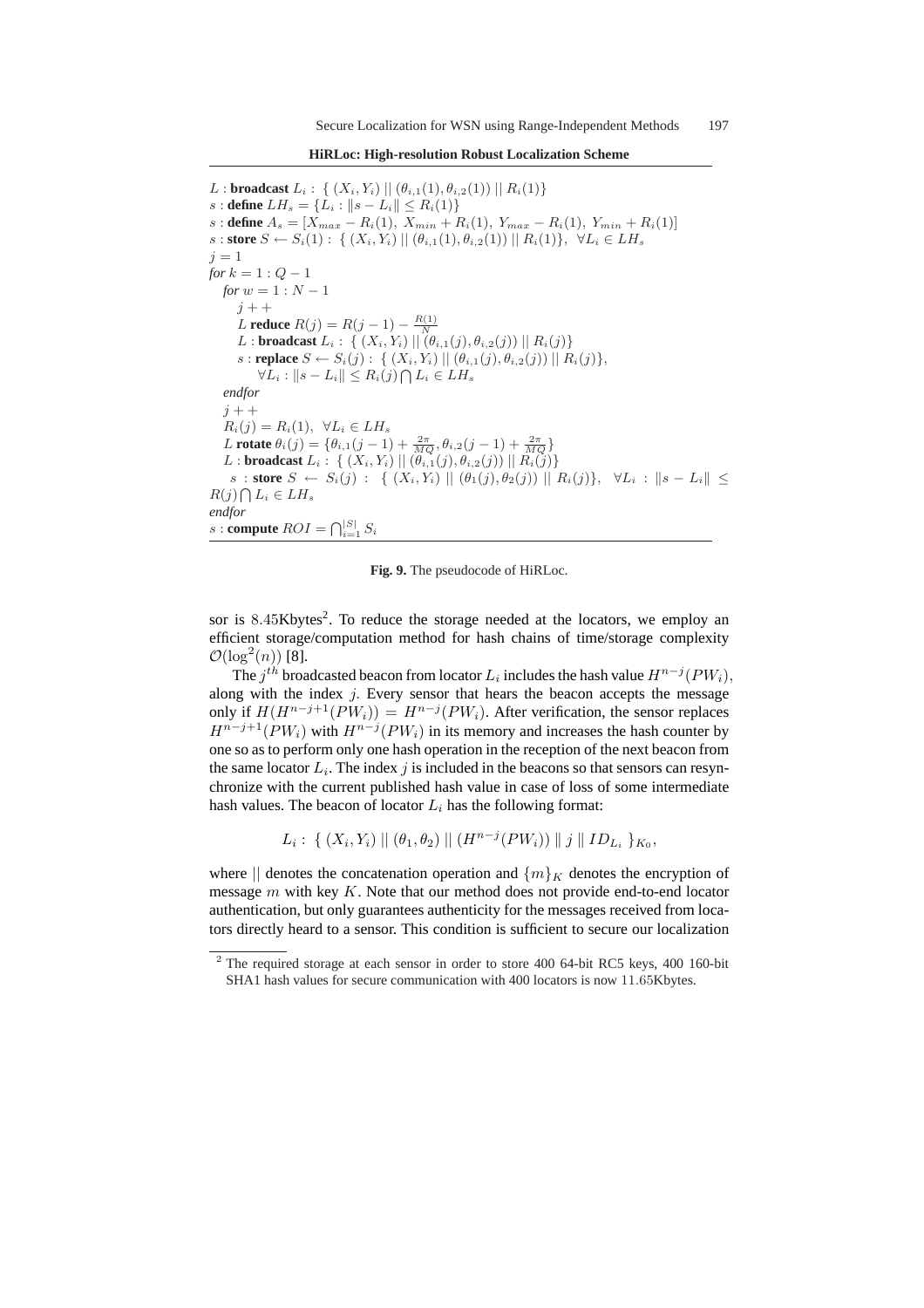**HiRLoc: High-resolution Robust Localization Scheme**

L : **broadcast**  $L_i$  : {  $(X_i, Y_i) || (\theta_{i,1}(1), \theta_{i,2}(1)) || R_i(1)$ } s : **define**  $LH_s = \{L_i : ||s - L_i|| \leq R_i(1)\}$ s : **define**  $A_s = [X_{max} - R_i(1), X_{min} + R_i(1), Y_{max} - R_i(1), Y_{min} + R_i(1)]$ s : **store**  $S \leftarrow S_i(1)$  : {  $(X_i, Y_i) || (\theta_{i,1}(1), \theta_{i,2}(1)) || R_i(1)$ },  $\forall L_i \in LH_s$  $j = 1$ *for*  $k = 1 : Q - 1$ *for*  $w = 1 : N - 1$  $j++$ L **reduce**  $R(j) = R(j - 1) - \frac{R(1)}{N}$ <br>L : **broadcast**  $L_i$  : {  $(X_i, Y_i) || (\theta_{i,1}(j), \theta_{i,2}(j)) || R_i(j)$ } s : **replace**  $S \leftarrow S_i(j)$  : {  $(X_i, Y_i) || (\theta_{i,1}(j), \theta_{i,2}(j)) || R_i(j)$ },  $\forall L_i : ||s - L_i|| \leq R_i(j) \bigcap L_i \in LH_s$ *endfor*  $j + +$  $R_i(j) = R_i(1), \ \forall L_i \in LH_s$ L **rotate**  $\theta_i(j) = \{\theta_{i,1}(j-1) + \frac{2\pi}{MQ}, \theta_{i,2}(j-1) + \frac{2\pi}{MQ}\}$ L : **broadcast**  $L_i$  : {  $(X_i, Y_i) || (\theta_{i,1}(j), \theta_{i,2}(j)) || R_i(j)$ } s : **store**  $S$  ←  $S_i(j)$  : {  $(X_i, Y_i) || (\theta_1(j), \theta_2(j)) || R_i(j)$ },  $\forall L_i$  :  $||s - L_i||$  ≤  $R(j) \bigcap L_i \in LH_s$ *endfor s* : **compute**  $ROI = \bigcap_{i=1}^{|S|} S_i$ 

**Fig. 9.** The pseudocode of HiRLoc.

sor is 8.45Kbytes<sup>2</sup>. To reduce the storage needed at the locators, we employ an efficient storage/computation method for hash chains of time/storage complexity  $\mathcal{O}(\log^2(n))$  [8].

The  $j^{th}$  broadcasted beacon from locator  $L_i$  includes the hash value  $H^{n-j}(PW_i)$ , along with the index  $j$ . Every sensor that hears the beacon accepts the message only if  $H(H^{n-j+1}(PW_i)) = H^{n-j}(PW_i)$ . After verification, the sensor replaces  $H^{n-j+1}(PW_i)$  with  $H^{n-j}(PW_i)$  in its memory and increases the hash counter by one so as to perform only one hash operation in the reception of the next beacon from the same locator  $L_i$ . The index j is included in the beacons so that sensors can resynchronize with the current published hash value in case of loss of some intermediate hash values. The beacon of locator  $L_i$  has the following format:

L<sub>i</sub>: {  $(X_i, Y_i)$  ||  $(\theta_1, \theta_2)$  ||  $(H^{n-j}(PW_i))$  ||  $j$  ||  $ID_{L_i}$  }  $_{K_0}$ ,

where  $\parallel$  denotes the concatenation operation and  $\{m\}_K$  denotes the encryption of message  $m$  with key  $K$ . Note that our method does not provide end-to-end locator authentication, but only guarantees authenticity for the messages received from locators directly heard to a sensor. This condition is sufficient to secure our localization

<sup>&</sup>lt;sup>2</sup> The required storage at each sensor in order to store 400 64-bit RC5 keys, 400 160-bit SHA1 hash values for secure communication with 400 locators is now 11.65Kbytes.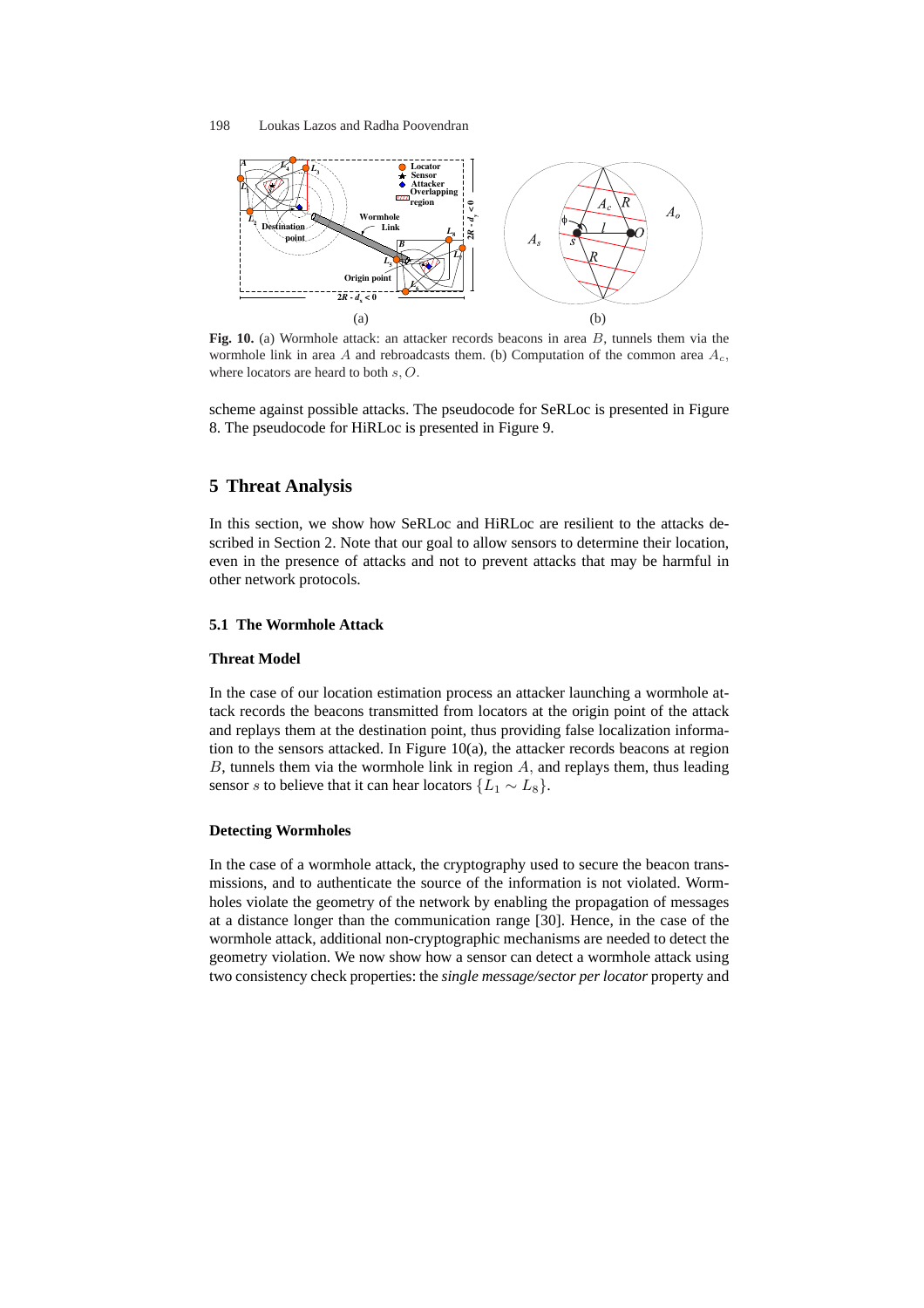

Fig. 10. (a) Wormhole attack: an attacker records beacons in area B, tunnels them via the wormhole link in area A and rebroadcasts them. (b) Computation of the common area  $A_c$ , where locators are heard to both  $s, O$ .

scheme against possible attacks. The pseudocode for SeRLoc is presented in Figure 8. The pseudocode for HiRLoc is presented in Figure 9.

## **5 Threat Analysis**

In this section, we show how SeRLoc and HiRLoc are resilient to the attacks described in Section 2. Note that our goal to allow sensors to determine their location, even in the presence of attacks and not to prevent attacks that may be harmful in other network protocols.

## **5.1 The Wormhole Attack**

## **Threat Model**

In the case of our location estimation process an attacker launching a wormhole attack records the beacons transmitted from locators at the origin point of the attack and replays them at the destination point, thus providing false localization information to the sensors attacked. In Figure 10(a), the attacker records beacons at region  $B$ , tunnels them via the wormhole link in region  $A$ , and replays them, thus leading sensor s to believe that it can hear locators  $\{L_1 \sim L_8\}$ .

#### **Detecting Wormholes**

In the case of a wormhole attack, the cryptography used to secure the beacon transmissions, and to authenticate the source of the information is not violated. Wormholes violate the geometry of the network by enabling the propagation of messages at a distance longer than the communication range [30]. Hence, in the case of the wormhole attack, additional non-cryptographic mechanisms are needed to detect the geometry violation. We now show how a sensor can detect a wormhole attack using two consistency check properties: the *single message/sector per locator* property and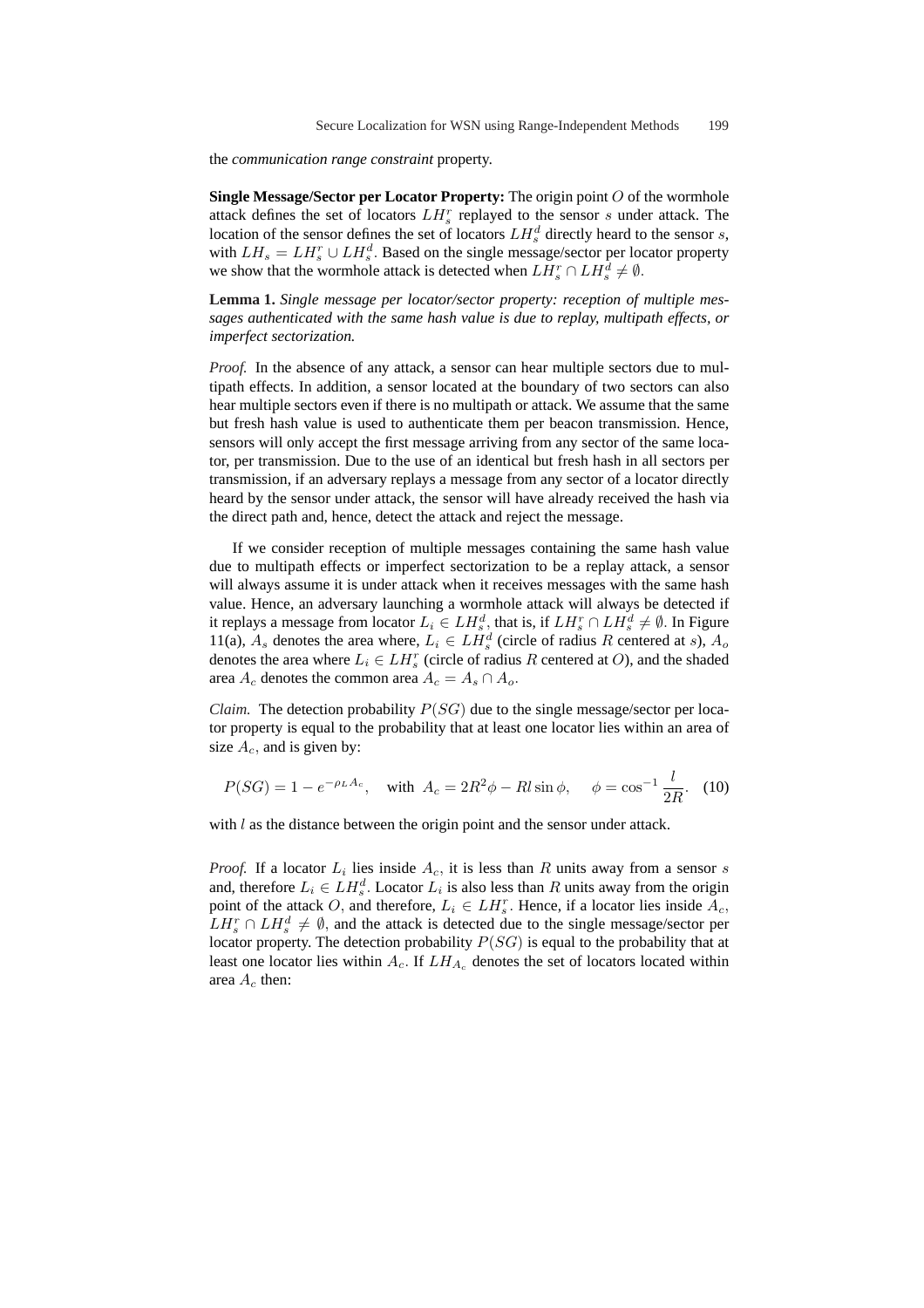the *communication range constraint* property.

**Single Message/Sector per Locator Property:** The origin point O of the wormhole attack defines the set of locators  $LH_s^r$  replayed to the sensor s under attack. The location of the sensor defines the set of locators  $LH_s^d$  directly heard to the sensor s, with  $LH_s = LH_s^r \cup LH_s^d$ . Based on the single message/sector per locator property we show that the wormhole attack is detected when  $LH_s^r \cap LH_s^d \neq \emptyset$ .

**Lemma 1.** *Single message per locator/sector property: reception of multiple messages authenticated with the same hash value is due to replay, multipath effects, or imperfect sectorization.*

*Proof.* In the absence of any attack, a sensor can hear multiple sectors due to multipath effects. In addition, a sensor located at the boundary of two sectors can also hear multiple sectors even if there is no multipath or attack. We assume that the same but fresh hash value is used to authenticate them per beacon transmission. Hence, sensors will only accept the first message arriving from any sector of the same locator, per transmission. Due to the use of an identical but fresh hash in all sectors per transmission, if an adversary replays a message from any sector of a locator directly heard by the sensor under attack, the sensor will have already received the hash via the direct path and, hence, detect the attack and reject the message.

If we consider reception of multiple messages containing the same hash value due to multipath effects or imperfect sectorization to be a replay attack, a sensor will always assume it is under attack when it receives messages with the same hash value. Hence, an adversary launching a wormhole attack will always be detected if it replays a message from locator  $L_i \in LH_s^d,$  that is, if  $LH_s^r \cap LH_s^d \neq \emptyset.$  In Figure 11(a),  $A_s$  denotes the area where,  $L_i \in LH_s^d$  (circle of radius R centered at s),  $A_o$ denotes the area where  $L_i \in LH_s^r$  (circle of radius R centered at O), and the shaded area  $A_c$  denotes the common area  $A_c = A_s \cap A_o$ .

*Claim.* The detection probability  $P(SG)$  due to the single message/sector per locator property is equal to the probability that at least one locator lies within an area of size  $A_c$ , and is given by:

$$
P(SG) = 1 - e^{-\rho_L A_c}, \quad \text{with } A_c = 2R^2\phi - Rl\sin\phi, \quad \phi = \cos^{-1}\frac{l}{2R}.
$$
 (10)

with  $l$  as the distance between the origin point and the sensor under attack.

*Proof.* If a locator  $L_i$  lies inside  $A_c$ , it is less than R units away from a sensor s and, therefore  $L_i \in LH_s^d$ . Locator  $L_i$  is also less than R units away from the origin point of the attack O, and therefore,  $L_i \in LH_s^r$ . Hence, if a locator lies inside  $A_c$ ,  $LH_s^r \cap LH_s^d \neq \emptyset$ , and the attack is detected due to the single message/sector per locator property. The detection probability  $P(SG)$  is equal to the probability that at least one locator lies within  $A_c$ . If  $LH_{A_c}$  denotes the set of locators located within area  $A_c$  then: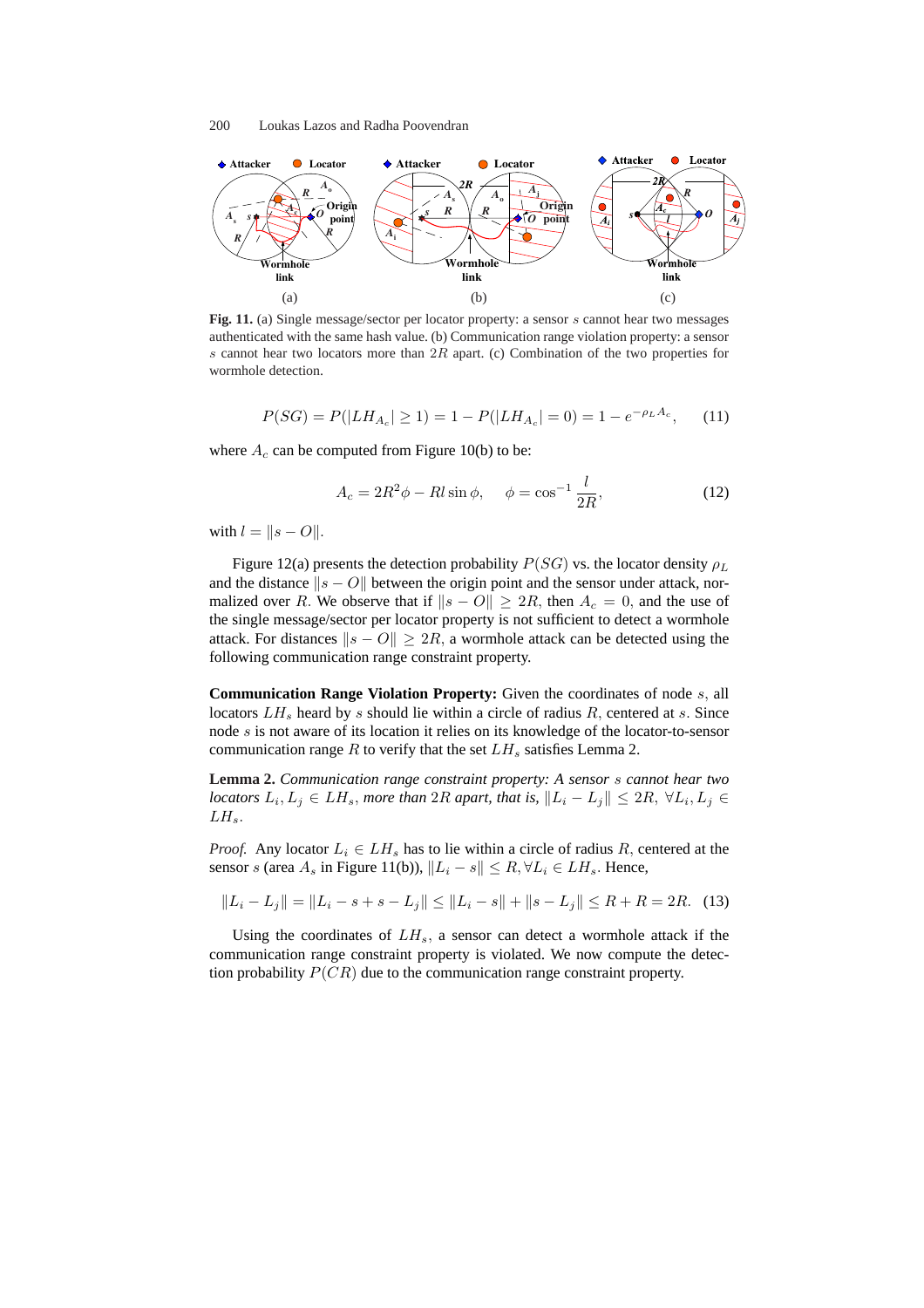

Fig. 11. (a) Single message/sector per locator property: a sensor s cannot hear two messages authenticated with the same hash value. (b) Communication range violation property: a sensor  $s$  cannot hear two locators more than  $2R$  apart. (c) Combination of the two properties for wormhole detection.

$$
P(SG) = P(|LH_{A_c}| \ge 1) = 1 - P(|LH_{A_c}| = 0) = 1 - e^{-\rho_L A_c}, \quad (11)
$$

where  $A_c$  can be computed from Figure 10(b) to be:

$$
A_c = 2R^2\phi - Rl\sin\phi, \quad \phi = \cos^{-1}\frac{l}{2R},\tag{12}
$$

with  $l = ||s - O||$ .

Figure 12(a) presents the detection probability  $P(SG)$  vs. the locator density  $\rho_L$ and the distance  $||s - O||$  between the origin point and the sensor under attack, normalized over R. We observe that if  $\|s - \mathcal{O}\| \geq 2R$ , then  $A_c = 0$ , and the use of the single message/sector per locator property is not sufficient to detect a wormhole attack. For distances  $\|s - O\| \geq 2R$ , a wormhole attack can be detected using the following communication range constraint property.

**Communication Range Violation Property:** Given the coordinates of node s, all locators  $LH_s$  heard by s should lie within a circle of radius R, centered at s. Since node s is not aware of its location it relies on its knowledge of the locator-to-sensor communication range R to verify that the set  $LH_s$  satisfies Lemma 2.

**Lemma 2.** *Communication range constraint property: A sensor* s *cannot hear two locators*  $L_i, L_j \in LH_s$ , more than  $2R$  apart, that is,  $||L_i - L_j|| \leq 2R$ ,  $\forall L_i, L_j \in$  $LH_s$ .

*Proof.* Any locator  $L_i \in LH_s$  has to lie within a circle of radius R, centered at the sensor s (area  $A_s$  in Figure 11(b)),  $||L_i - s|| \le R$ ,  $\forall L_i \in LH_s$ . Hence,

$$
||L_i - L_j|| = ||L_i - s + s - L_j|| \le ||L_i - s|| + ||s - L_j|| \le R + R = 2R.
$$
 (13)

Using the coordinates of  $LH_s$ , a sensor can detect a wormhole attack if the communication range constraint property is violated. We now compute the detection probability  $P(CR)$  due to the communication range constraint property.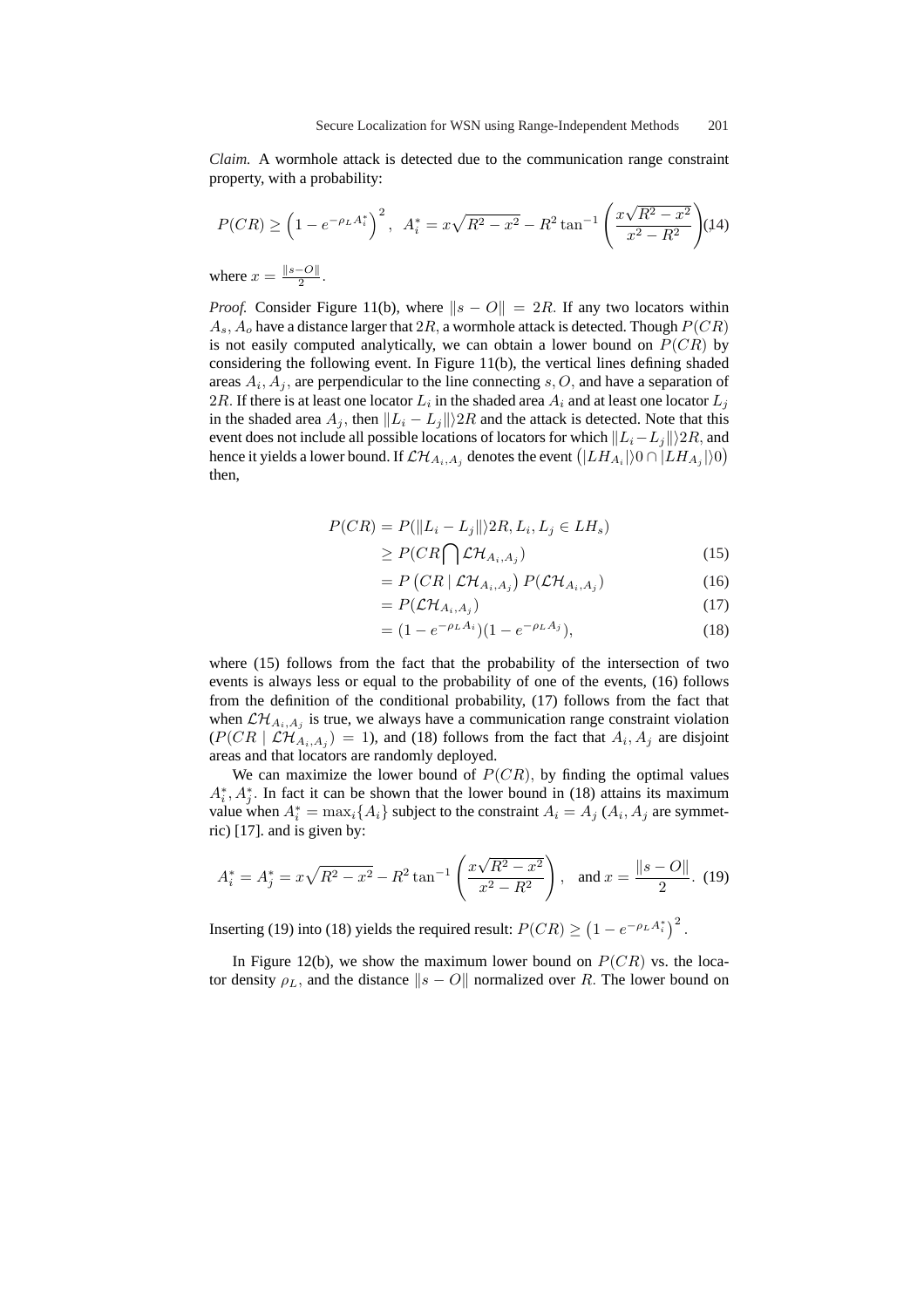*Claim.* A wormhole attack is detected due to the communication range constraint property, with a probability:

$$
P(CR) \ge \left(1 - e^{-\rho_L A_i^*}\right)^2, \ \ A_i^* = x\sqrt{R^2 - x^2} - R^2 \tan^{-1} \left(\frac{x\sqrt{R^2 - x^2}}{x^2 - R^2}\right) (14)
$$
where  $x = \|s - 0\|$ 

where  $x =$  $\overline{2}$ .

*Proof.* Consider Figure 11(b), where  $||s - O|| = 2R$ . If any two locators within  $A_s$ ,  $A_o$  have a distance larger that  $2R$ , a wormhole attack is detected. Though  $P(CR)$ is not easily computed analytically, we can obtain a lower bound on  $P(CR)$  by considering the following event. In Figure 11(b), the vertical lines defining shaded areas  $A_i$ ,  $A_j$ , are perpendicular to the line connecting s, O, and have a separation of 2R. If there is at least one locator  $L_i$  in the shaded area  $A_i$  and at least one locator  $L_j$ in the shaded area  $A_i$ , then  $||L_i - L_i||$ ) 2R and the attack is detected. Note that this event does not include all possible locations of locators for which  $||L_i - L_j||/2R$ , and event does not include all possible locations of locators for which  $||L_i - L_j||/2K$ , and<br>hence it yields a lower bound. If  $\mathcal{LH}_{A_i,A_j}$  denotes the event  $(|LH_{A_i}|)0 \cap |LH_{A_j}|)0$ then,

$$
P(CR) = P(||L_i - L_j||) 2R, L_i, L_j \in LH_s)
$$

$$
\geq P(CR \bigcap \mathcal{LH}_{A_i,A_j}) \tag{15}
$$

$$
= P\left(CR \mid \mathcal{L}\mathcal{H}_{A_i, A_j}\right) P(\mathcal{L}\mathcal{H}_{A_i, A_j})\tag{16}
$$

$$
=P(\mathcal{LH}_{A_i,A_j})\tag{17}
$$

$$
= (1 - e^{-\rho_L A_i})(1 - e^{-\rho_L A_j}), \tag{18}
$$

where (15) follows from the fact that the probability of the intersection of two events is always less or equal to the probability of one of the events, (16) follows from the definition of the conditional probability, (17) follows from the fact that when  $\mathcal{LH}_{A_i,A_j}$  is true, we always have a communication range constraint violation  $(P(CR \mid \mathcal{LH}_{A_i,A_j}) = 1)$ , and (18) follows from the fact that  $A_i, A_j$  are disjoint areas and that locators are randomly deployed.

We can maximize the lower bound of  $P(CR)$ , by finding the optimal values  $A_i^*, A_j^*$ . In fact it can be shown that the lower bound in (18) attains its maximum value when  $A_i^* = \max_i \{A_i\}$  subject to the constraint  $A_i = A_j$  ( $A_i$ ,  $A_j$  are symmetric) [17]. and is given by:

$$
A_i^* = A_j^* = x\sqrt{R^2 - x^2} - R^2 \tan^{-1} \left( \frac{x\sqrt{R^2 - x^2}}{x^2 - R^2} \right), \text{ and } x = \frac{\|s - O\|}{2}.
$$
 (19)

Inserting (19) into (18) yields the required result:  $P(CR) \ge$ ¡  $1 - e^{-\rho_L A_i^*}$ <sup>2</sup>.

In Figure 12(b), we show the maximum lower bound on  $P(CR)$  vs. the locator density  $\rho_L$ , and the distance  $\|s - \mathcal{O}\|$  normalized over R. The lower bound on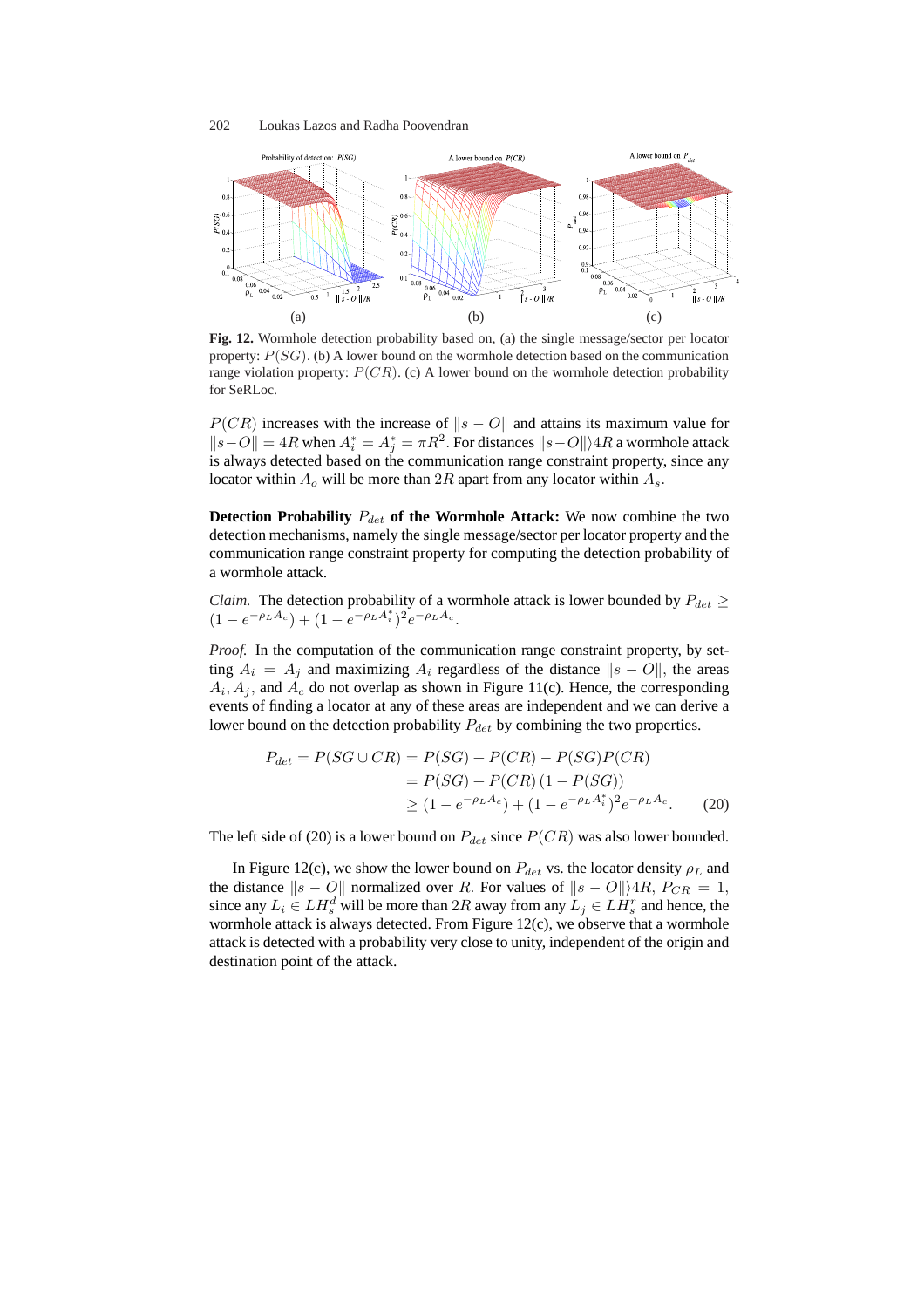

**Fig. 12.** Wormhole detection probability based on, (a) the single message/sector per locator property:  $P(SG)$ . (b) A lower bound on the wormhole detection based on the communication range violation property:  $P(CR)$ . (c) A lower bound on the wormhole detection probability for SeRLoc.

 $P(CR)$  increases with the increase of  $\|s - O\|$  and attains its maximum value for  $||s-O|| = 4R$  when  $A_i^* = A_j^* = \pi R^2$ . For distances  $||s-O||$  a wormhole attack is always detected based on the communication range constraint property, since any locator within  $A_o$  will be more than 2R apart from any locator within  $A_s$ .

**Detection Probability**  $P_{det}$  of the Wormhole Attack: We now combine the two detection mechanisms, namely the single message/sector per locator property and the communication range constraint property for computing the detection probability of a wormhole attack.

*Claim.* The detection probability of a wormhole attack is lower bounded by  $P_{det} \ge$  $(1 - e^{-\rho_L A_c}) + (1 - e^{-\rho_L A_i^*})^2 e^{-\rho_L A_c}.$ 

*Proof.* In the computation of the communication range constraint property, by setting  $A_i = A_j$  and maximizing  $A_i$  regardless of the distance  $||s - O||$ , the areas  $A_i$ ,  $A_j$ , and  $A_c$  do not overlap as shown in Figure 11(c). Hence, the corresponding events of finding a locator at any of these areas are independent and we can derive a lower bound on the detection probability  $P_{det}$  by combining the two properties.

$$
P_{det} = P(SG \cup CR) = P(SG) + P(CR) - P(SG)P(CR)
$$
  
=  $P(SG) + P(CR) (1 - P(SG))$   
 $\geq (1 - e^{-\rho_L A_c}) + (1 - e^{-\rho_L A_i^*})^2 e^{-\rho_L A_c}.$  (20)

The left side of (20) is a lower bound on  $P_{det}$  since  $P(CR)$  was also lower bounded.

In Figure 12(c), we show the lower bound on  $P_{det}$  vs. the locator density  $\rho_L$  and the distance  $\|s - O\|$  normalized over R. For values of  $\|s - O\|/4R$ ,  $P_{CR} = 1$ , since any  $L_i \in LH_s^d$  will be more than  $2R$  away from any  $L_j \in LH_s^r$  and hence, the wormhole attack is always detected. From Figure 12(c), we observe that a wormhole attack is detected with a probability very close to unity, independent of the origin and destination point of the attack.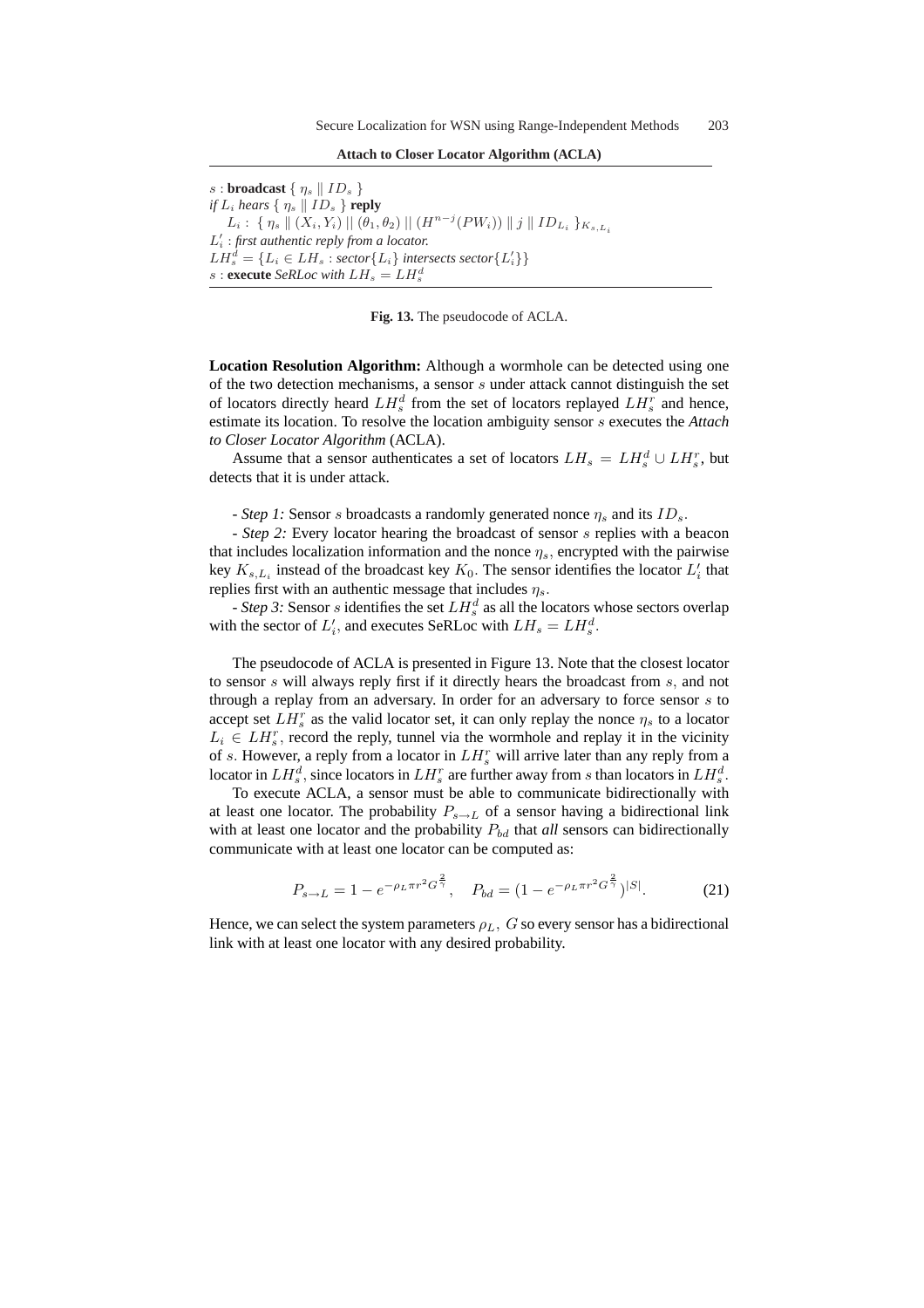$s:$ **broadcast** { $\eta_s \parallel ID_s$  } *if*  $L_i$  *hears*  $\{ \eta_s \mid I D_s \}$  **reply**  $L_i: \ \{\ \eta_s \parallel (X_i,Y_i) \ || \ (\theta_1,\theta_2) \ || \ (H^{n-j}(PW_i)) \ || \ j \ || \ ID_{L_i} \ \}_{K_{s,L_i}}$  $L_i'$ : *first authentic reply from a locator.*  $LH_s^d = \{L_i \in LH_s : sector\{L_i\} \text{ intersects sector}\{L_i'\}\}$  $s$  : **execute** *SeRLoc with*  $LH_s = LH_s^d$ 



**Location Resolution Algorithm:** Although a wormhole can be detected using one of the two detection mechanisms, a sensor  $s$  under attack cannot distinguish the set of locators directly heard  $LH_s^d$  from the set of locators replayed  $LH_s^r$  and hence, estimate its location. To resolve the location ambiguity sensor s executes the *Attach to Closer Locator Algorithm* (ACLA).

Assume that a sensor authenticates a set of locators  $LH_s = LH_s^d \cup LH_s^r$ , but detects that it is under attack.

*- Step 1:* Sensor s broadcasts a randomly generated nonce  $\eta_s$  and its  $ID_s$ .

*- Step 2:* Every locator hearing the broadcast of sensor s replies with a beacon that includes localization information and the nonce  $\eta_s$ , encrypted with the pairwise key  $K_{s,L_i}$  instead of the broadcast key  $K_0$ . The sensor identifies the locator  $L'_i$  that replies first with an authentic message that includes  $\eta_s$ .

*- Step 3:* Sensor *s* identifies the set  $LH_s^d$  as all the locators whose sectors overlap with the sector of  $L'_i$ , and executes SeRLoc with  $LH_s = LH_s^d$ .

The pseudocode of ACLA is presented in Figure 13. Note that the closest locator to sensor s will always reply first if it directly hears the broadcast from s, and not through a replay from an adversary. In order for an adversary to force sensor s to accept set  $LH_s^r$  as the valid locator set, it can only replay the nonce  $\eta_s$  to a locator  $L_i \in LH_s^r$ , record the reply, tunnel via the wormhole and replay it in the vicinity of s. However, a reply from a locator in  $LH_s^r$  will arrive later than any reply from a locator in  $L H_s^d$ , since locators in  $L H_s^r$  are further away from s than locators in  $L H_s^d$ .

To execute ACLA, a sensor must be able to communicate bidirectionally with at least one locator. The probability  $P_{s\to L}$  of a sensor having a bidirectional link with at least one locator and the probability  $P_{bd}$  that *all* sensors can bidirectionally communicate with at least one locator can be computed as:

$$
P_{s \to L} = 1 - e^{-\rho_L \pi r^2 G^{\frac{2}{\gamma}}}, \quad P_{bd} = (1 - e^{-\rho_L \pi r^2 G^{\frac{2}{\gamma}}})^{|S|}.
$$
 (21)

Hence, we can select the system parameters  $\rho_L$ , G so every sensor has a bidirectional link with at least one locator with any desired probability.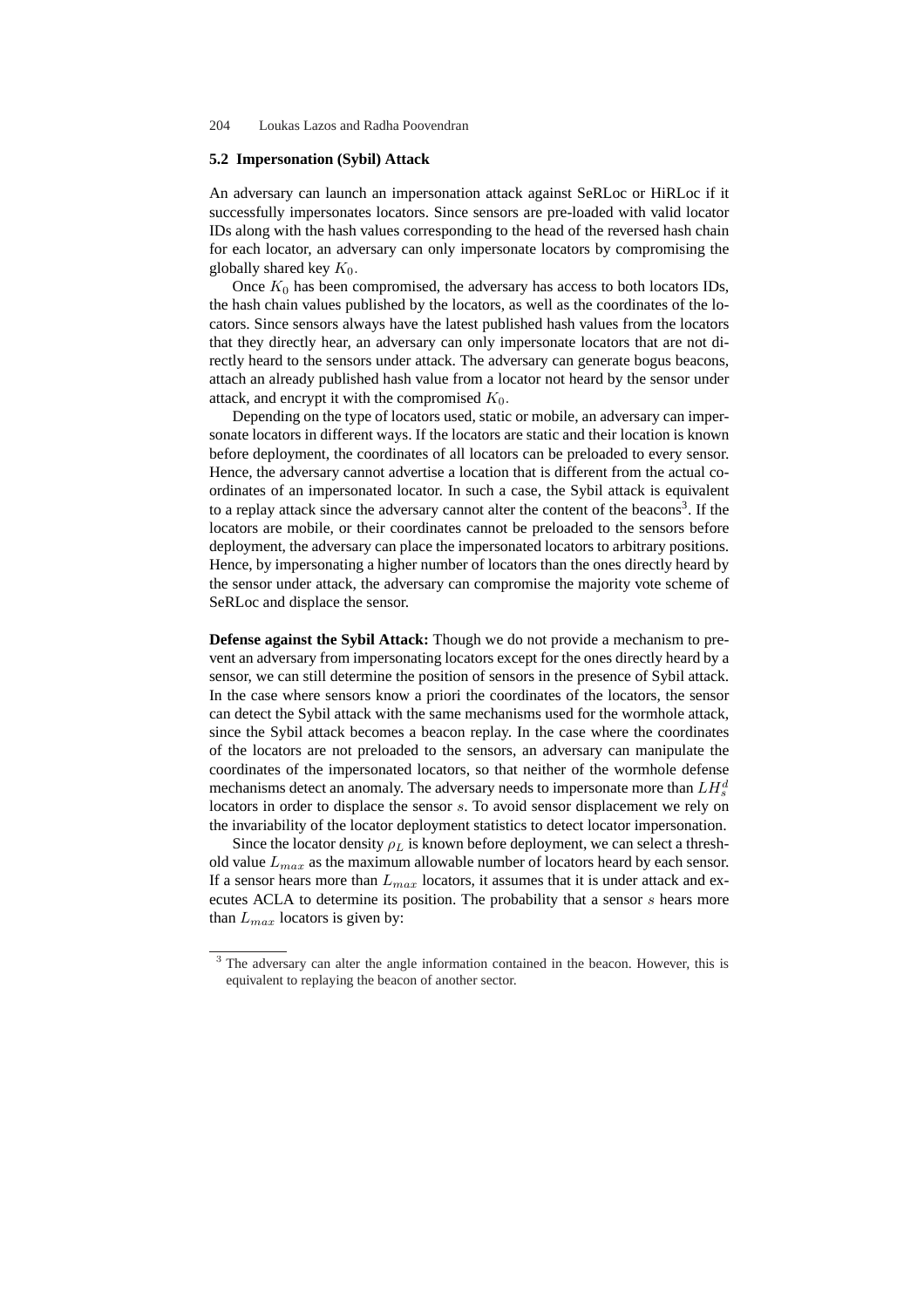#### **5.2 Impersonation (Sybil) Attack**

An adversary can launch an impersonation attack against SeRLoc or HiRLoc if it successfully impersonates locators. Since sensors are pre-loaded with valid locator IDs along with the hash values corresponding to the head of the reversed hash chain for each locator, an adversary can only impersonate locators by compromising the globally shared key  $K_0$ .

Once  $K_0$  has been compromised, the adversary has access to both locators IDs, the hash chain values published by the locators, as well as the coordinates of the locators. Since sensors always have the latest published hash values from the locators that they directly hear, an adversary can only impersonate locators that are not directly heard to the sensors under attack. The adversary can generate bogus beacons, attach an already published hash value from a locator not heard by the sensor under attack, and encrypt it with the compromised  $K_0$ .

Depending on the type of locators used, static or mobile, an adversary can impersonate locators in different ways. If the locators are static and their location is known before deployment, the coordinates of all locators can be preloaded to every sensor. Hence, the adversary cannot advertise a location that is different from the actual coordinates of an impersonated locator. In such a case, the Sybil attack is equivalent to a replay attack since the adversary cannot alter the content of the beacons<sup>3</sup>. If the locators are mobile, or their coordinates cannot be preloaded to the sensors before deployment, the adversary can place the impersonated locators to arbitrary positions. Hence, by impersonating a higher number of locators than the ones directly heard by the sensor under attack, the adversary can compromise the majority vote scheme of SeRLoc and displace the sensor.

**Defense against the Sybil Attack:** Though we do not provide a mechanism to prevent an adversary from impersonating locators except for the ones directly heard by a sensor, we can still determine the position of sensors in the presence of Sybil attack. In the case where sensors know a priori the coordinates of the locators, the sensor can detect the Sybil attack with the same mechanisms used for the wormhole attack, since the Sybil attack becomes a beacon replay. In the case where the coordinates of the locators are not preloaded to the sensors, an adversary can manipulate the coordinates of the impersonated locators, so that neither of the wormhole defense mechanisms detect an anomaly. The adversary needs to impersonate more than  $LH_s^d$ locators in order to displace the sensor s. To avoid sensor displacement we rely on the invariability of the locator deployment statistics to detect locator impersonation.

Since the locator density  $\rho_L$  is known before deployment, we can select a threshold value  $L_{max}$  as the maximum allowable number of locators heard by each sensor. If a sensor hears more than  $L_{max}$  locators, it assumes that it is under attack and executes ACLA to determine its position. The probability that a sensor s hears more than  $L_{max}$  locators is given by:

<sup>&</sup>lt;sup>3</sup> The adversary can alter the angle information contained in the beacon. However, this is equivalent to replaying the beacon of another sector.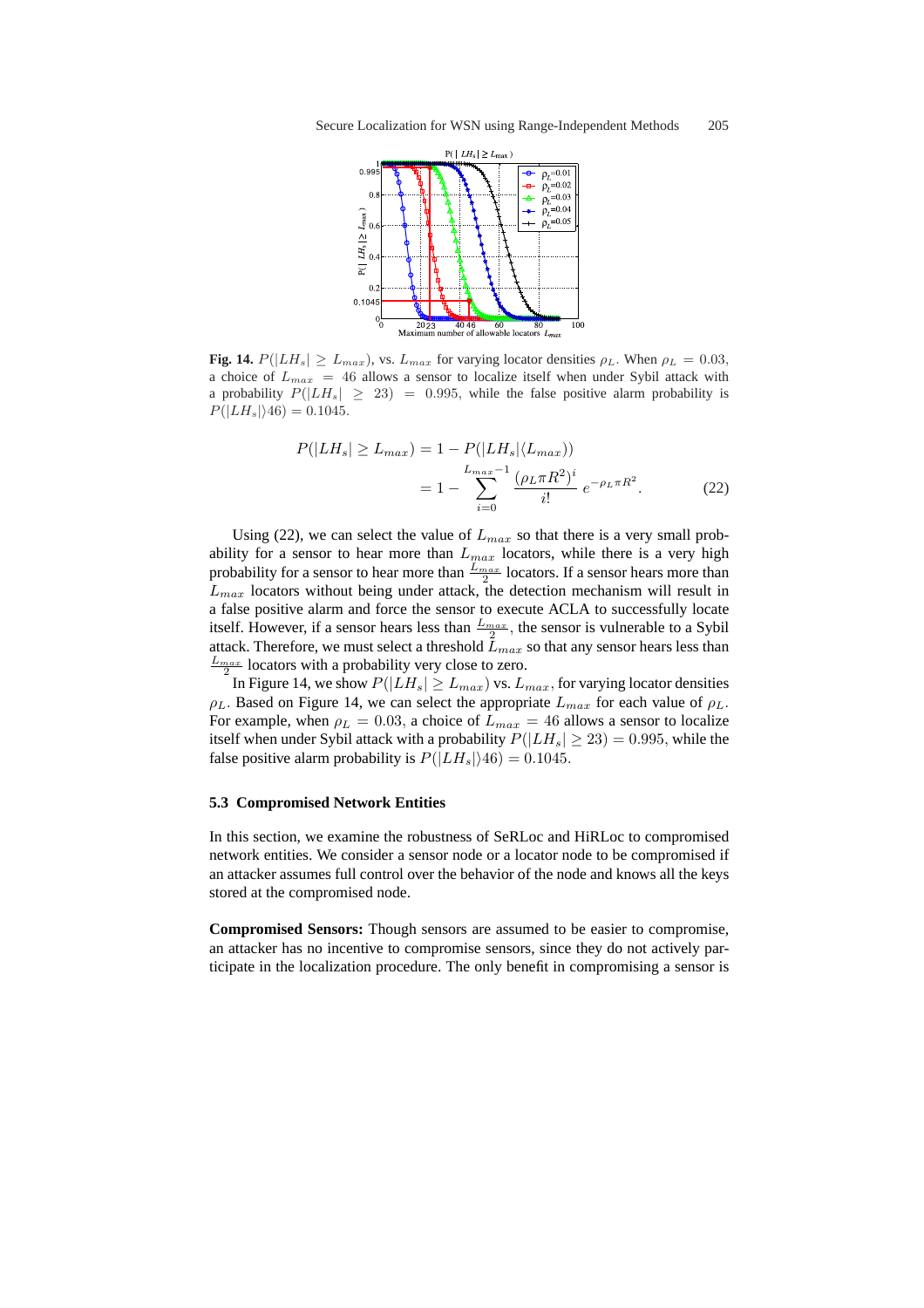

**Fig. 14.**  $P(|LH_s| \ge L_{max})$ , vs.  $L_{max}$  for varying locator densities  $\rho_L$ . When  $\rho_L = 0.03$ , a choice of  $L_{max}$  = 46 allows a sensor to localize itself when under Sybil attack with a probability  $P(|LH_s| \geq 23) = 0.995$ , while the false positive alarm probability is  $P(|LH_s|\rangle 46) = 0.1045.$ 

$$
P(|LH_s| \ge L_{max}) = 1 - P(|LH_s| \langle L_{max})
$$
  
= 
$$
1 - \sum_{i=0}^{L_{max}-1} \frac{(\rho_L \pi R^2)^i}{i!} e^{-\rho_L \pi R^2}.
$$
 (22)

Using (22), we can select the value of  $L_{max}$  so that there is a very small probability for a sensor to hear more than  $L_{max}$  locators, while there is a very high probability for a sensor to hear more than  $\frac{L_{max}}{2}$  locators. If a sensor hears more than  $L_{max}$  locators without being under attack, the detection mechanism will result in a false positive alarm and force the sensor to execute ACLA to successfully locate itself. However, if a sensor hears less than  $\frac{L_{max}}{2}$ , the sensor is vulnerable to a Sybil attack. Therefore, we must select a threshold  $\bar{L}_{max}$  so that any sensor hears less than  $\frac{L_{max}}{2}$  locators with a probability very close to zero.

In Figure 14, we show  $P(|LH_s| \ge L_{max})$  vs.  $L_{max}$ , for varying locator densities  $\rho_L$ . Based on Figure 14, we can select the appropriate  $L_{max}$  for each value of  $\rho_L$ . For example, when  $\rho_L = 0.03$ , a choice of  $L_{max} = 46$  allows a sensor to localize itself when under Sybil attack with a probability  $P(|LH_s| \ge 23) = 0.995$ , while the false positive alarm probability is  $P(|LH_s|/46) = 0.1045$ .

#### **5.3 Compromised Network Entities**

In this section, we examine the robustness of SeRLoc and HiRLoc to compromised network entities. We consider a sensor node or a locator node to be compromised if an attacker assumes full control over the behavior of the node and knows all the keys stored at the compromised node.

**Compromised Sensors:** Though sensors are assumed to be easier to compromise, an attacker has no incentive to compromise sensors, since they do not actively participate in the localization procedure. The only benefit in compromising a sensor is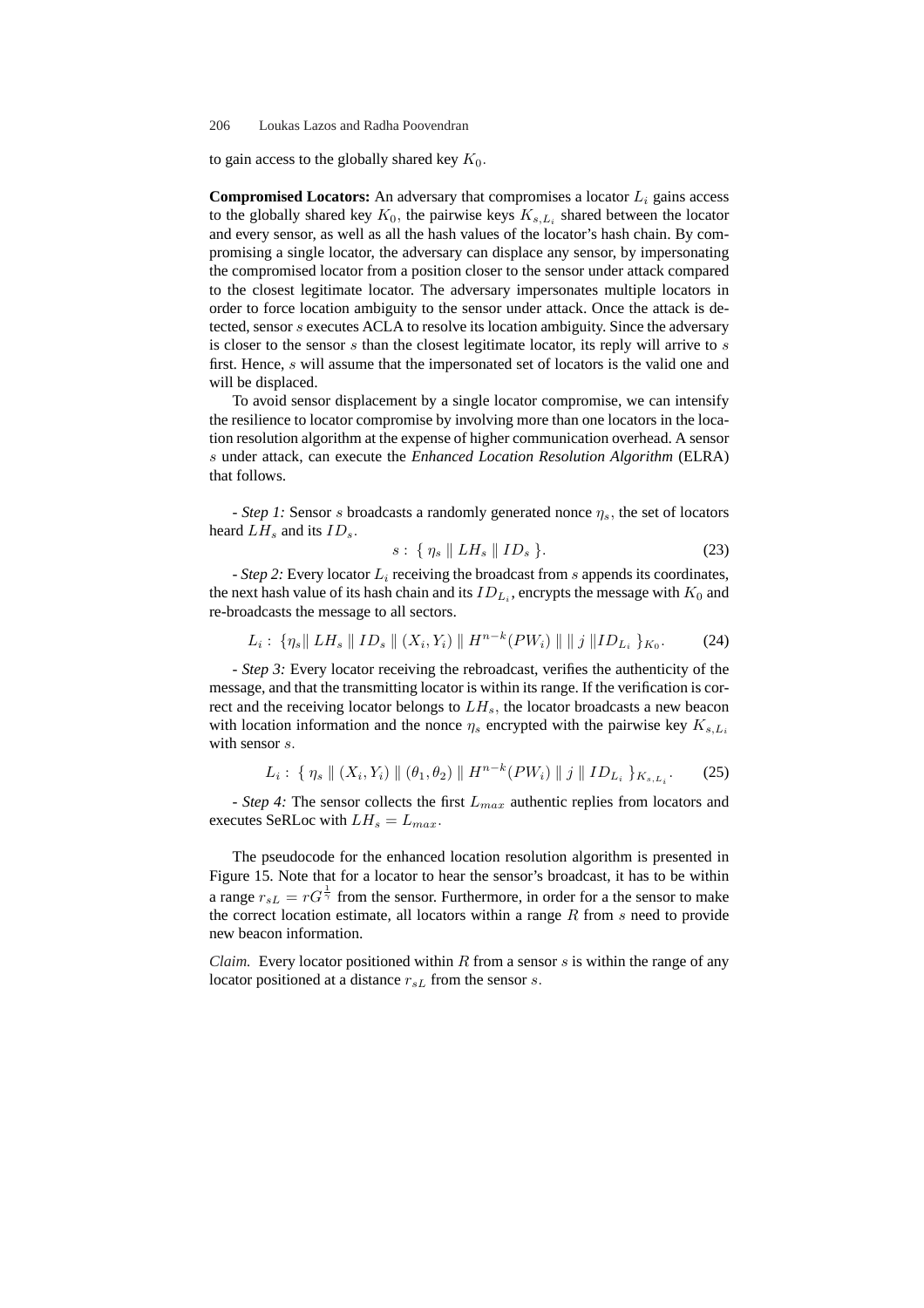to gain access to the globally shared key  $K_0$ .

**Compromised Locators:** An adversary that compromises a locator  $L_i$  gains access to the globally shared key  $K_0$ , the pairwise keys  $K_{s,L_i}$  shared between the locator and every sensor, as well as all the hash values of the locator's hash chain. By compromising a single locator, the adversary can displace any sensor, by impersonating the compromised locator from a position closer to the sensor under attack compared to the closest legitimate locator. The adversary impersonates multiple locators in order to force location ambiguity to the sensor under attack. Once the attack is detected, sensor s executes ACLA to resolve its location ambiguity. Since the adversary is closer to the sensor  $s$  than the closest legitimate locator, its reply will arrive to  $s$ first. Hence, s will assume that the impersonated set of locators is the valid one and will be displaced.

To avoid sensor displacement by a single locator compromise, we can intensify the resilience to locator compromise by involving more than one locators in the location resolution algorithm at the expense of higher communication overhead. A sensor s under attack, can execute the *Enhanced Location Resolution Algorithm* (ELRA) that follows.

*- Step 1:* Sensor s broadcasts a randomly generated nonce  $\eta_s$ , the set of locators heard  $LH_s$  and its  $ID_s$ .

$$
s: \{ \eta_s \parallel LH_s \parallel ID_s \}. \tag{23}
$$

*- Step 2:* Every locator  $L_i$  receiving the broadcast from  $s$  appends its coordinates, the next hash value of its hash chain and its  $ID_{L_i}$ , encrypts the message with  $K_0$  and re-broadcasts the message to all sectors.

$$
L_i: \{\eta_s \| LH_s \| ID_s \| (X_i, Y_i) \| H^{n-k}(PW_i) \| \| j \| ID_{L_i} \}_{K_0}.
$$
 (24)

*- Step 3:* Every locator receiving the rebroadcast, verifies the authenticity of the message, and that the transmitting locator is within its range. If the verification is correct and the receiving locator belongs to  $LH_s$ , the locator broadcasts a new beacon with location information and the nonce  $\eta_s$  encrypted with the pairwise key  $K_{s,L_i}$ with sensor s.

$$
L_i: \{\eta_s \mid (X_i, Y_i) \mid \theta_1, \theta_2) \mid H^{n-k}(PW_i) \mid j \mid ID_{L_i} \}_{K_{s, L_i}}.
$$
 (25)

*- Step 4:* The sensor collects the first  $L_{max}$  authentic replies from locators and executes SeRLoc with  $LH_s = L_{max}$ .

The pseudocode for the enhanced location resolution algorithm is presented in Figure 15. Note that for a locator to hear the sensor's broadcast, it has to be within a range  $r_{sL} = rG^{\frac{1}{\gamma}}$  from the sensor. Furthermore, in order for a the sensor to make the correct location estimate, all locators within a range  $R$  from  $s$  need to provide new beacon information.

*Claim.* Every locator positioned within  $R$  from a sensor  $s$  is within the range of any locator positioned at a distance  $r_{sL}$  from the sensor s.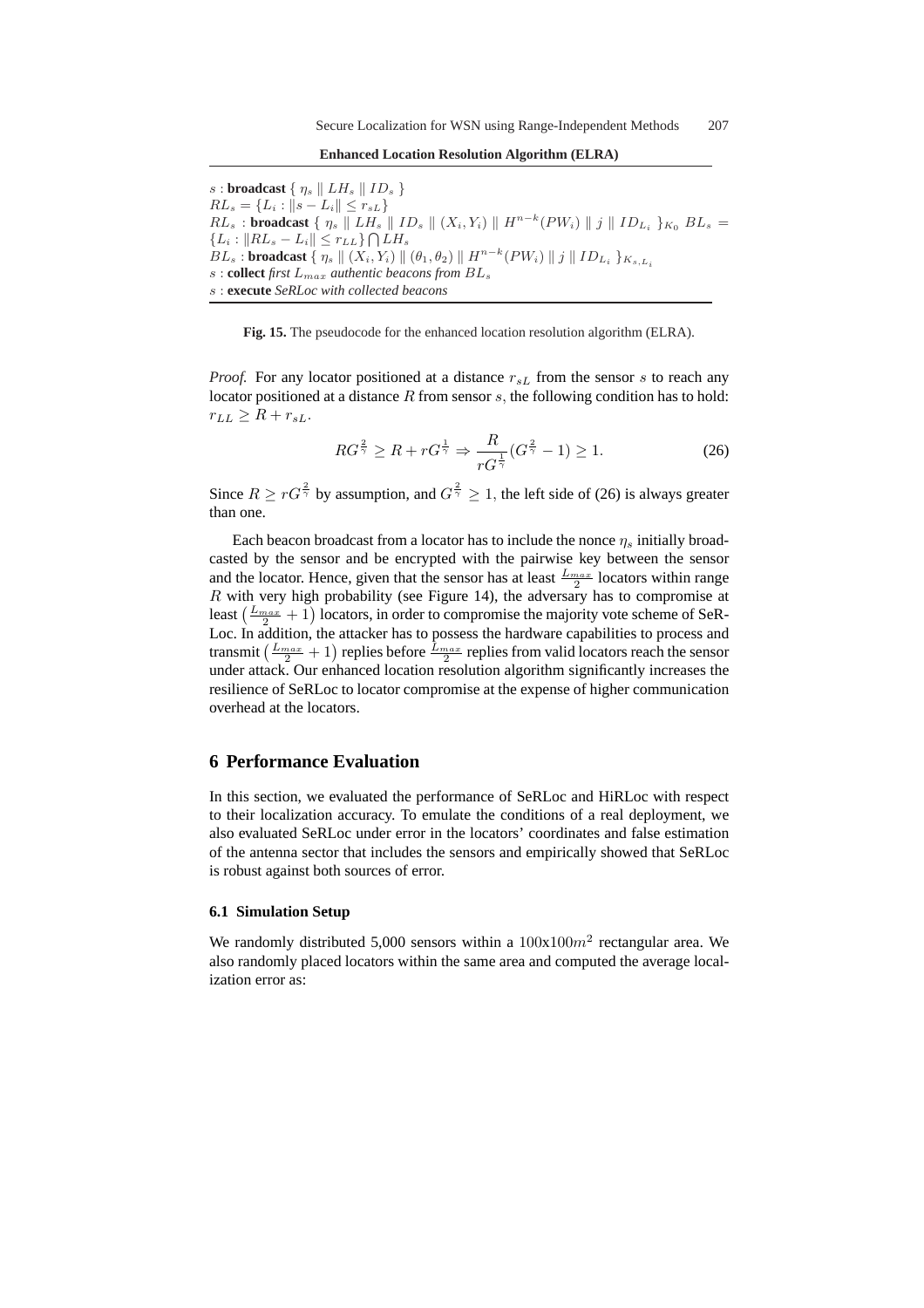**Enhanced Location Resolution Algorithm (ELRA)**

s : **broadcast** {  $\eta_s \parallel LH_s \parallel ID_s$  }  $RL_s = \{L_i : ||s - L_i|| \leq r_{sL}\}$  $RL_s$  : **broadcast** {  $\eta_s \parallel LH_s \parallel ID_s \parallel (X_i, Y_i) \parallel H^{n-k}(PW_i) \parallel j \parallel ID_{L_i} \}$ K<sub>0</sub>  $BL_s =$  ${L_i: \|RL_s - L_i\| \leq r_{LL}} \cap LH_s$  $BL_s:$  **broadcast**  $\{ \eta_s \parallel (X_i,Y_i) \parallel (\theta_1,\theta_2) \parallel H^{n-k}(PW_i) \parallel j \parallel ID_{L_i} \}_{K_{s,L_i}}$ s : **collect** *first* Lmax *authentic beacons from* BL<sup>s</sup> s : **execute** *SeRLoc with collected beacons*

**Fig. 15.** The pseudocode for the enhanced location resolution algorithm (ELRA).

*Proof.* For any locator positioned at a distance  $r_{sL}$  from the sensor s to reach any locator positioned at a distance  $R$  from sensor  $s$ , the following condition has to hold:  $r_{LL} \geq R + r_{sL}.$ 

$$
RG^{\frac{2}{\gamma}} \ge R + rG^{\frac{1}{\gamma}} \Rightarrow \frac{R}{rG^{\frac{1}{\gamma}}} (G^{\frac{2}{\gamma}} - 1) \ge 1.
$$
 (26)

Since  $R \ge rG^{\frac{2}{\gamma}}$  by assumption, and  $G^{\frac{2}{\gamma}} \ge 1$ , the left side of (26) is always greater than one.

Each beacon broadcast from a locator has to include the nonce  $\eta_s$  initially broadcasted by the sensor and be encrypted with the pairwise key between the sensor and the locator. Hence, given that the sensor has at least  $\frac{L_{max}}{2}$  locators within range R with very high probability (see Figure 14), the adversary has to compromise at *H* with very high probability (see Figure 14), the adversary has to compromise at least  $(\frac{L_{max}}{2} + 1)$  locators, in order to compromise the majority vote scheme of SeR-Loc. In addition, the attacker has to possess the hardware capabilities to process and Loc. In addition, the attacker has to possess the hardware capabilities to process and transmit  $(\frac{L_{max}}{2} + 1)$  replies before  $\frac{L_{max}}{2}$  replies from valid locators reach the sensor under attack. Our enhanced location resolution algorithm significantly increases the resilience of SeRLoc to locator compromise at the expense of higher communication overhead at the locators.

## **6 Performance Evaluation**

In this section, we evaluated the performance of SeRLoc and HiRLoc with respect to their localization accuracy. To emulate the conditions of a real deployment, we also evaluated SeRLoc under error in the locators' coordinates and false estimation of the antenna sector that includes the sensors and empirically showed that SeRLoc is robust against both sources of error.

#### **6.1 Simulation Setup**

We randomly distributed 5,000 sensors within a  $100x100m^2$  rectangular area. We also randomly placed locators within the same area and computed the average localization error as: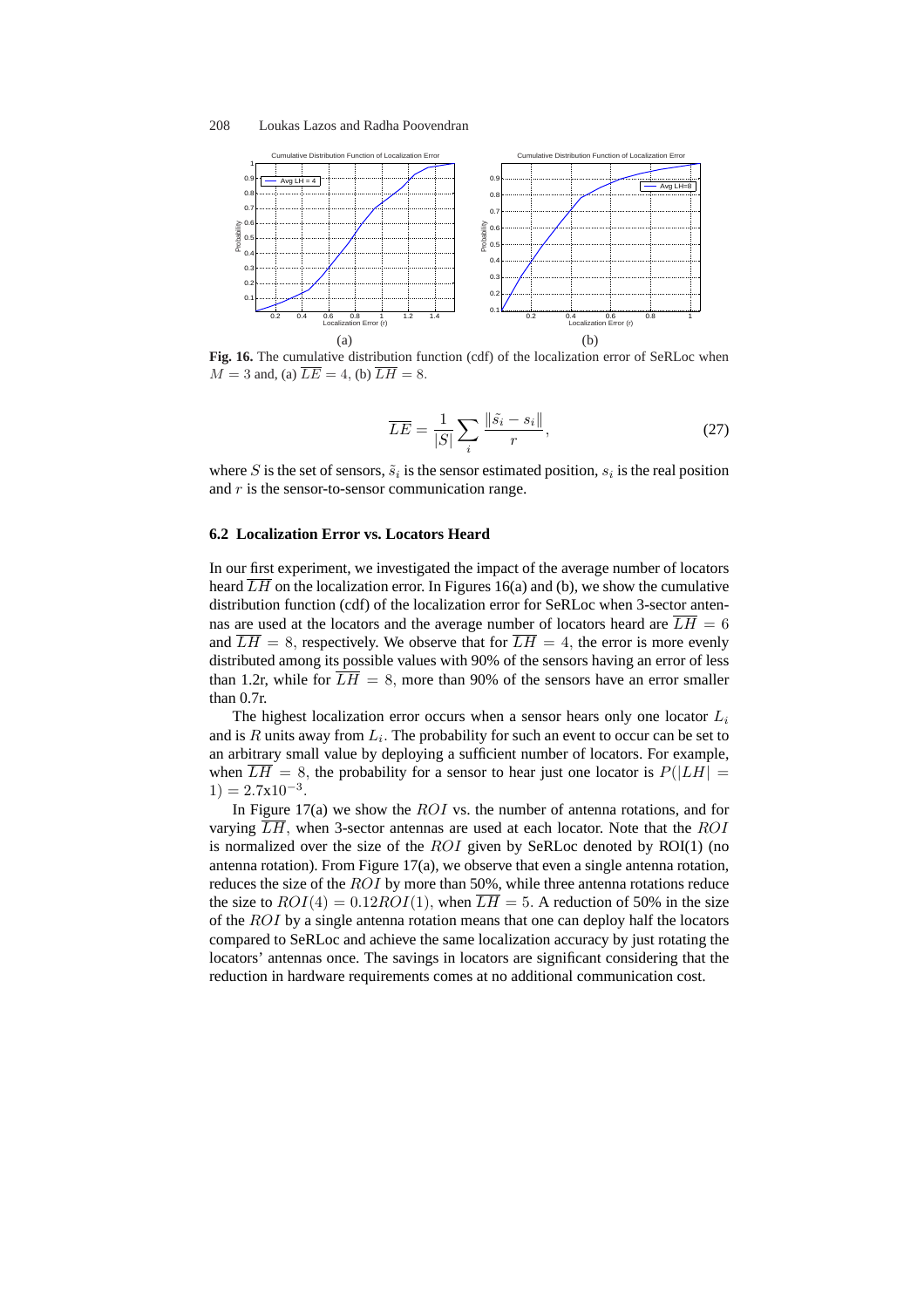

**Fig. 16.** The cumulative distribution function (cdf) of the localization error of SeRLoc when  $M = 3$  and, (a)  $\overline{LE} = 4$ , (b)  $\overline{LH} = 8$ .

$$
\overline{LE} = \frac{1}{|S|} \sum_{i} \frac{\|\tilde{s}_i - s_i\|}{r},\tag{27}
$$

where S is the set of sensors,  $\tilde{s}_i$  is the sensor estimated position,  $s_i$  is the real position and  $r$  is the sensor-to-sensor communication range.

#### **6.2 Localization Error vs. Locators Heard**

In our first experiment, we investigated the impact of the average number of locators heard  $\overline{LH}$  on the localization error. In Figures 16(a) and (b), we show the cumulative distribution function (cdf) of the localization error for SeRLoc when 3-sector antennas are used at the locators and the average number of locators heard are  $\overline{LH} = 6$ and  $\overline{LH} = 8$ , respectively. We observe that for  $\overline{LH} = 4$ , the error is more evenly distributed among its possible values with 90% of the sensors having an error of less than 1.2r, while for  $\overline{LH} = 8$ , more than 90% of the sensors have an error smaller than 0.7r.

The highest localization error occurs when a sensor hears only one locator  $L_i$ and is R units away from  $L_i$ . The probability for such an event to occur can be set to an arbitrary small value by deploying a sufficient number of locators. For example, when  $\overline{LH} = 8$ , the probability for a sensor to hear just one locator is  $P(|LH| =$  $1) = 2.7 \times 10^{-3}$ .

In Figure 17(a) we show the  $ROI$  vs. the number of antenna rotations, and for varying  $\overline{LH}$ , when 3-sector antennas are used at each locator. Note that the ROI is normalized over the size of the  $ROI$  given by SeRLoc denoted by  $ROI(1)$  (no antenna rotation). From Figure 17(a), we observe that even a single antenna rotation, reduces the size of the ROI by more than 50%, while three antenna rotations reduce the size to  $ROI(4) = 0.12ROI(1)$ , when  $\overline{LH} = 5$ . A reduction of 50% in the size of the ROI by a single antenna rotation means that one can deploy half the locators compared to SeRLoc and achieve the same localization accuracy by just rotating the locators' antennas once. The savings in locators are significant considering that the reduction in hardware requirements comes at no additional communication cost.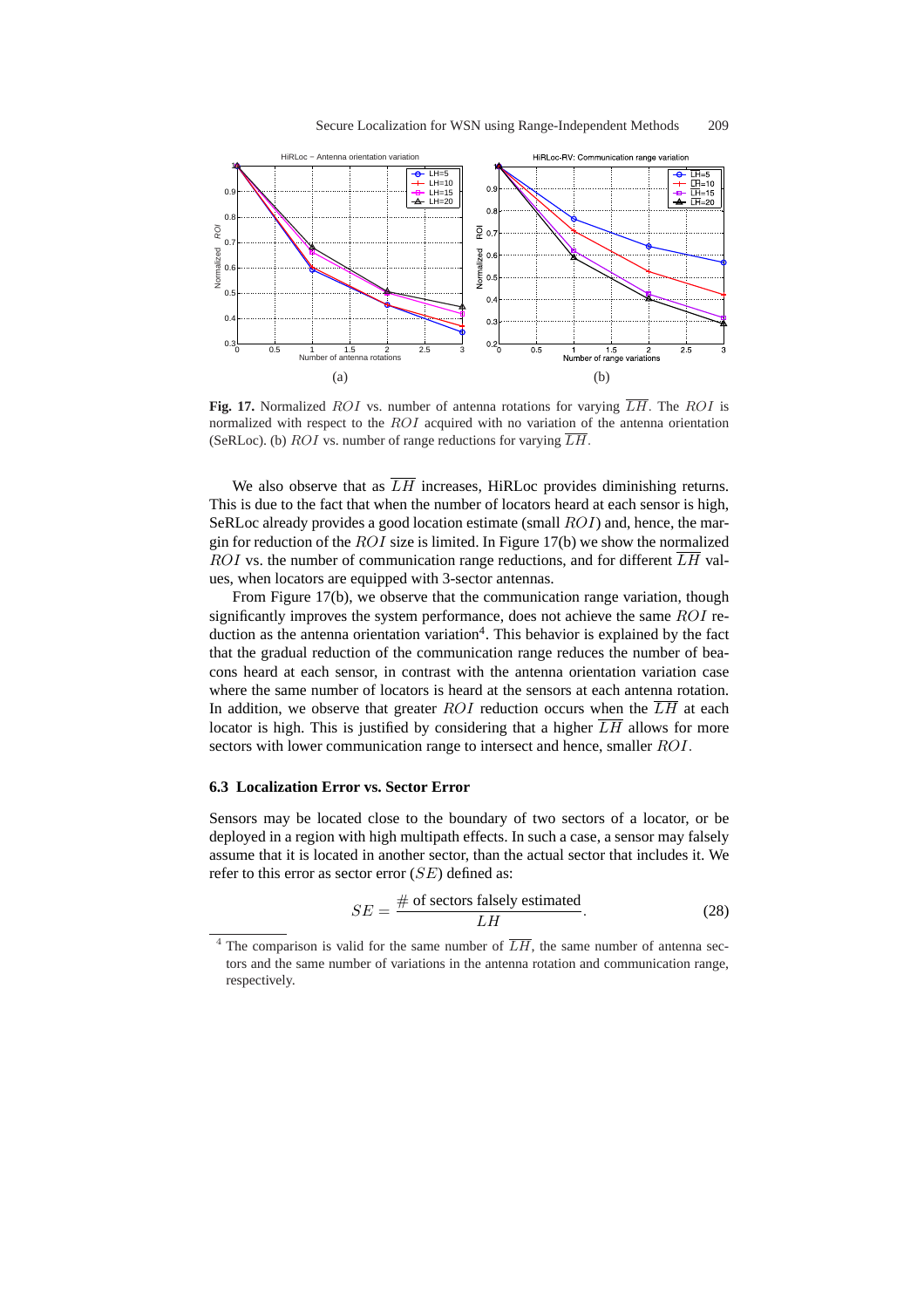

**Fig. 17.** Normalized ROI vs. number of antenna rotations for varying  $\overline{LH}$ . The ROI is normalized with respect to the ROI acquired with no variation of the antenna orientation (SeRLoc). (b)  $ROI$  vs. number of range reductions for varying  $\overline{LH}$ .

We also observe that as  $\overline{LH}$  increases, HiRLoc provides diminishing returns. This is due to the fact that when the number of locators heard at each sensor is high, SeRLoc already provides a good location estimate (small  $ROI$ ) and, hence, the margin for reduction of the  $ROI$  size is limited. In Figure 17(b) we show the normalized ROI vs. the number of communication range reductions, and for different  $\overline{LH}$  values, when locators are equipped with 3-sector antennas.

From Figure 17(b), we observe that the communication range variation, though significantly improves the system performance, does not achieve the same ROI reduction as the antenna orientation variation<sup>4</sup>. This behavior is explained by the fact that the gradual reduction of the communication range reduces the number of beacons heard at each sensor, in contrast with the antenna orientation variation case where the same number of locators is heard at the sensors at each antenna rotation. In addition, we observe that greater ROI reduction occurs when the  $\overline{LH}$  at each locator is high. This is justified by considering that a higher  $\overline{LH}$  allows for more sectors with lower communication range to intersect and hence, smaller ROI.

#### **6.3 Localization Error vs. Sector Error**

Sensors may be located close to the boundary of two sectors of a locator, or be deployed in a region with high multipath effects. In such a case, a sensor may falsely assume that it is located in another sector, than the actual sector that includes it. We refer to this error as sector error  $(SE)$  defined as:

$$
SE = \frac{\text{# of sectors falsely estimated}}{LH}.
$$
 (28)

<sup>&</sup>lt;sup>4</sup> The comparison is valid for the same number of  $\overline{LH}$ , the same number of antenna sectors and the same number of variations in the antenna rotation and communication range, respectively.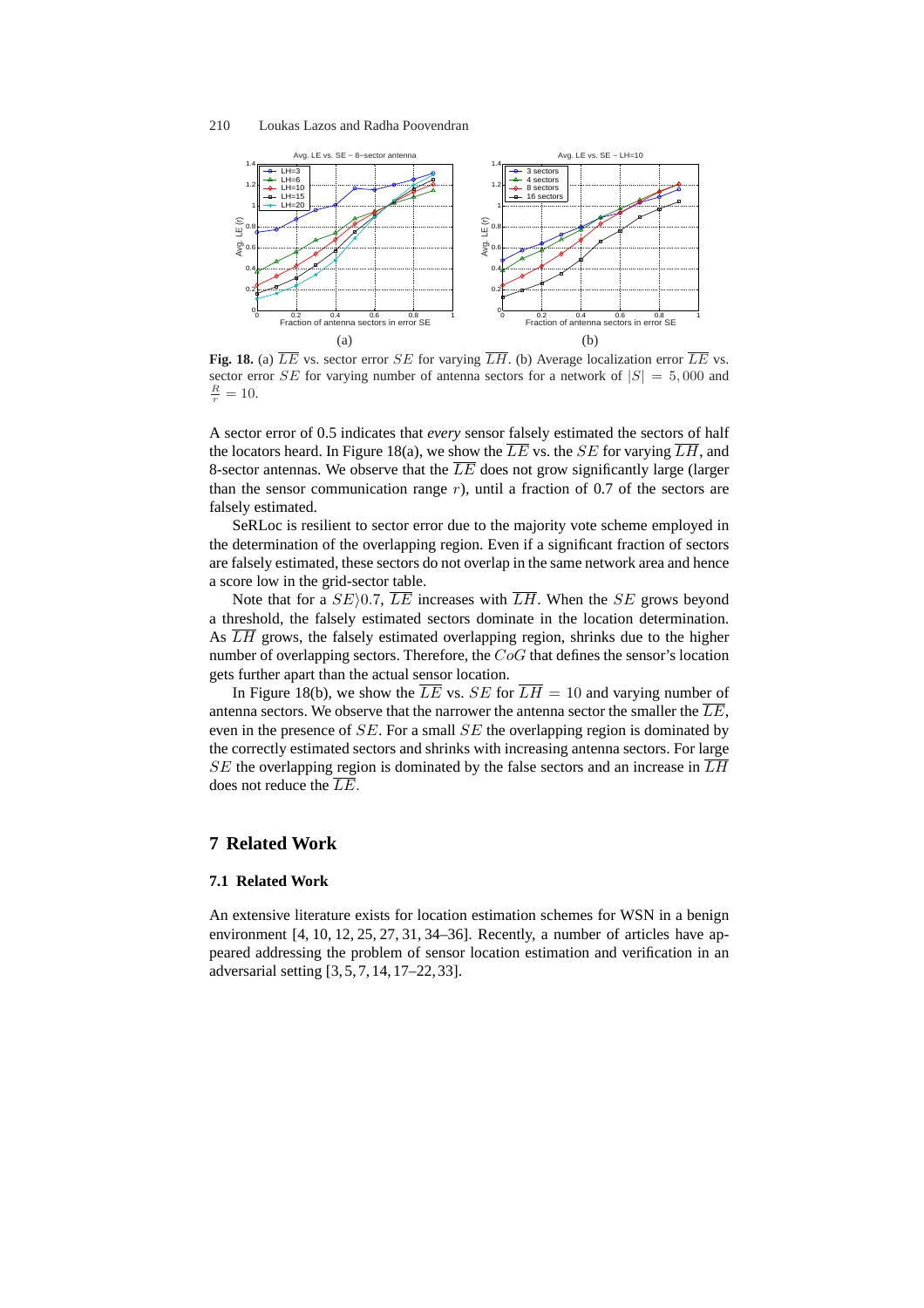

**Fig. 18.** (a)  $\overline{LE}$  vs. sector error SE for varying  $\overline{LH}$ . (b) Average localization error  $\overline{LE}$  vs. sector error SE for varying number of antenna sectors for a network of  $|S| = 5,000$  and  $\frac{R}{r} = 10.$ 

A sector error of 0.5 indicates that *every* sensor falsely estimated the sectors of half the locators heard. In Figure 18(a), we show the  $\overline{LE}$  vs. the SE for varying  $\overline{LH}$ , and 8-sector antennas. We observe that the  $\overline{LE}$  does not grow significantly large (larger than the sensor communication range  $r$ ), until a fraction of 0.7 of the sectors are falsely estimated.

SeRLoc is resilient to sector error due to the majority vote scheme employed in the determination of the overlapping region. Even if a significant fraction of sectors are falsely estimated, these sectors do not overlap in the same network area and hence a score low in the grid-sector table.

Note that for a  $SE$ )0.7,  $\overline{LE}$  increases with  $\overline{LH}$ . When the SE grows beyond a threshold, the falsely estimated sectors dominate in the location determination. As  $\overline{LH}$  grows, the falsely estimated overlapping region, shrinks due to the higher number of overlapping sectors. Therefore, the CoG that defines the sensor's location gets further apart than the actual sensor location.

In Figure 18(b), we show the  $\overline{LE}$  vs.  $SE$  for  $\overline{LH} = 10$  and varying number of antenna sectors. We observe that the narrower the antenna sector the smaller the  $\overline{LE}$ , even in the presence of SE. For a small SE the overlapping region is dominated by the correctly estimated sectors and shrinks with increasing antenna sectors. For large SE the overlapping region is dominated by the false sectors and an increase in  $\overline{LH}$ does not reduce the  $\overline{LE}$ .

## **7 Related Work**

## **7.1 Related Work**

An extensive literature exists for location estimation schemes for WSN in a benign environment [4, 10, 12, 25, 27, 31, 34–36]. Recently, a number of articles have appeared addressing the problem of sensor location estimation and verification in an adversarial setting [3, 5, 7, 14, 17–22, 33].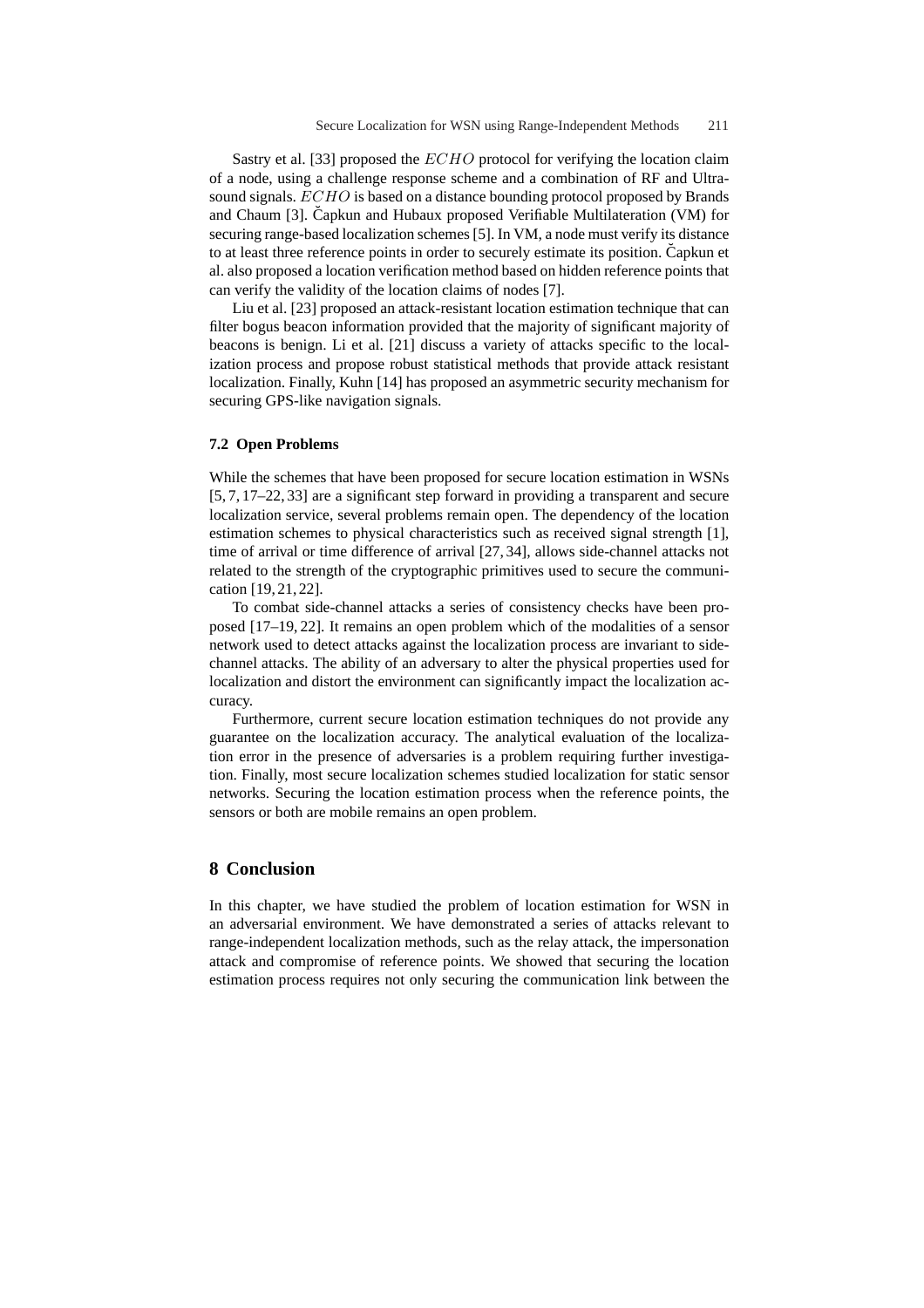Sastry et al. [33] proposed the *ECHO* protocol for verifying the location claim of a node, using a challenge response scheme and a combination of RF and Ultrasound signals. ECHO is based on a distance bounding protocol proposed by Brands and Chaum [3]. Capkun and Hubaux proposed Verifiable Multilateration (VM) for securing range-based localization schemes [5]. In VM, a node must verify its distance to at least three reference points in order to securely estimate its position. Capkun et al. also proposed a location verification method based on hidden reference points that can verify the validity of the location claims of nodes [7].

Liu et al. [23] proposed an attack-resistant location estimation technique that can filter bogus beacon information provided that the majority of significant majority of beacons is benign. Li et al. [21] discuss a variety of attacks specific to the localization process and propose robust statistical methods that provide attack resistant localization. Finally, Kuhn [14] has proposed an asymmetric security mechanism for securing GPS-like navigation signals.

#### **7.2 Open Problems**

While the schemes that have been proposed for secure location estimation in WSNs [5, 7, 17–22, 33] are a significant step forward in providing a transparent and secure localization service, several problems remain open. The dependency of the location estimation schemes to physical characteristics such as received signal strength [1], time of arrival or time difference of arrival [27, 34], allows side-channel attacks not related to the strength of the cryptographic primitives used to secure the communication [19, 21, 22].

To combat side-channel attacks a series of consistency checks have been proposed [17–19, 22]. It remains an open problem which of the modalities of a sensor network used to detect attacks against the localization process are invariant to sidechannel attacks. The ability of an adversary to alter the physical properties used for localization and distort the environment can significantly impact the localization accuracy.

Furthermore, current secure location estimation techniques do not provide any guarantee on the localization accuracy. The analytical evaluation of the localization error in the presence of adversaries is a problem requiring further investigation. Finally, most secure localization schemes studied localization for static sensor networks. Securing the location estimation process when the reference points, the sensors or both are mobile remains an open problem.

## **8 Conclusion**

In this chapter, we have studied the problem of location estimation for WSN in an adversarial environment. We have demonstrated a series of attacks relevant to range-independent localization methods, such as the relay attack, the impersonation attack and compromise of reference points. We showed that securing the location estimation process requires not only securing the communication link between the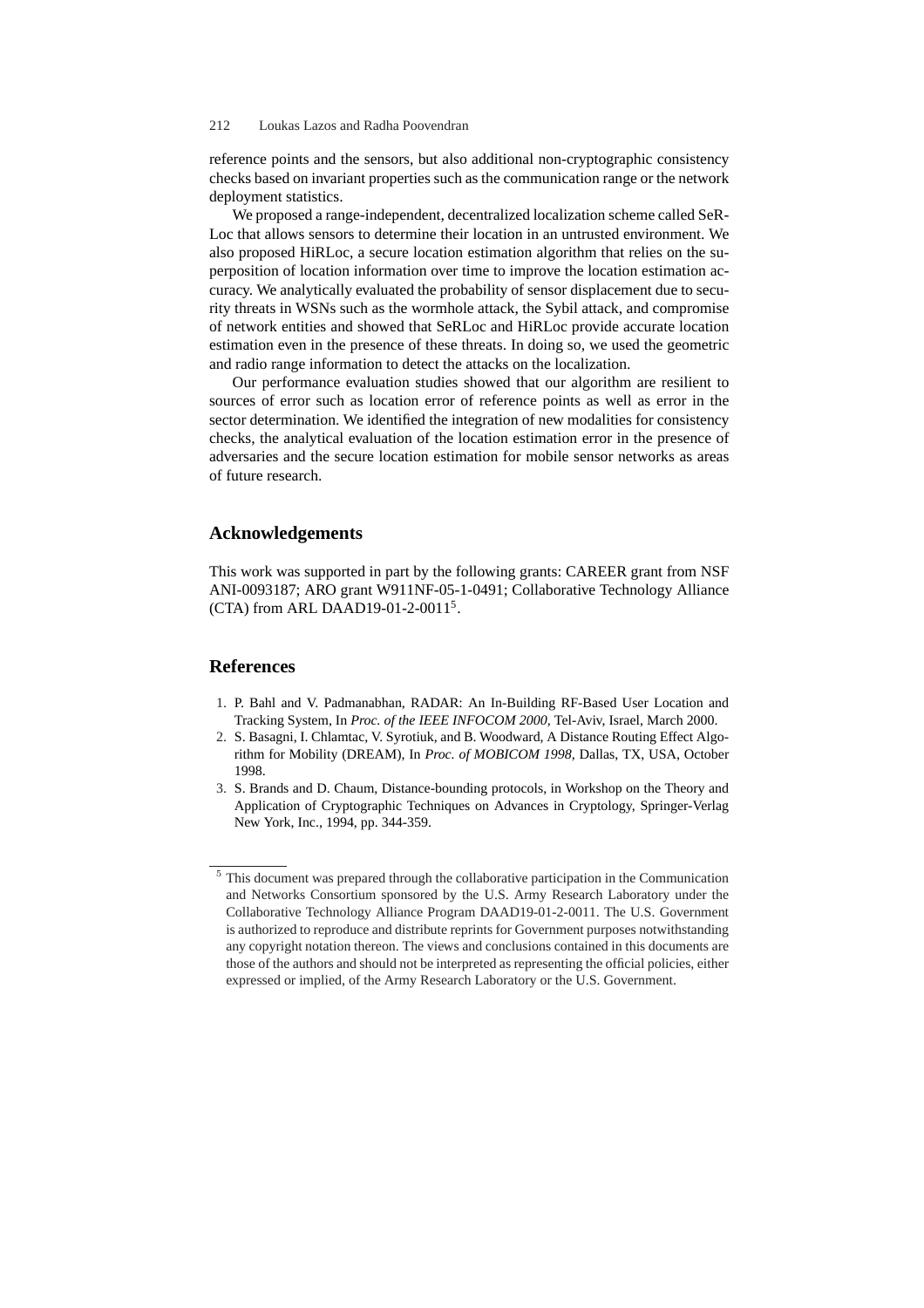reference points and the sensors, but also additional non-cryptographic consistency checks based on invariant properties such as the communication range or the network deployment statistics.

We proposed a range-independent, decentralized localization scheme called SeR-Loc that allows sensors to determine their location in an untrusted environment. We also proposed HiRLoc, a secure location estimation algorithm that relies on the superposition of location information over time to improve the location estimation accuracy. We analytically evaluated the probability of sensor displacement due to security threats in WSNs such as the wormhole attack, the Sybil attack, and compromise of network entities and showed that SeRLoc and HiRLoc provide accurate location estimation even in the presence of these threats. In doing so, we used the geometric and radio range information to detect the attacks on the localization.

Our performance evaluation studies showed that our algorithm are resilient to sources of error such as location error of reference points as well as error in the sector determination. We identified the integration of new modalities for consistency checks, the analytical evaluation of the location estimation error in the presence of adversaries and the secure location estimation for mobile sensor networks as areas of future research.

## **Acknowledgements**

This work was supported in part by the following grants: CAREER grant from NSF ANI-0093187; ARO grant W911NF-05-1-0491; Collaborative Technology Alliance (CTA) from ARL DAAD19-01-2-0011<sup>5</sup>.

## **References**

- 1. P. Bahl and V. Padmanabhan, RADAR: An In-Building RF-Based User Location and Tracking System, In *Proc. of the IEEE INFOCOM 2000,* Tel-Aviv, Israel, March 2000.
- 2. S. Basagni, I. Chlamtac, V. Syrotiuk, and B. Woodward, A Distance Routing Effect Algorithm for Mobility (DREAM), In *Proc. of MOBICOM 1998,* Dallas, TX, USA, October 1998.
- 3. S. Brands and D. Chaum, Distance-bounding protocols, in Workshop on the Theory and Application of Cryptographic Techniques on Advances in Cryptology, Springer-Verlag New York, Inc., 1994, pp. 344-359.

<sup>5</sup> This document was prepared through the collaborative participation in the Communication and Networks Consortium sponsored by the U.S. Army Research Laboratory under the Collaborative Technology Alliance Program DAAD19-01-2-0011. The U.S. Government is authorized to reproduce and distribute reprints for Government purposes notwithstanding any copyright notation thereon. The views and conclusions contained in this documents are those of the authors and should not be interpreted as representing the official policies, either expressed or implied, of the Army Research Laboratory or the U.S. Government.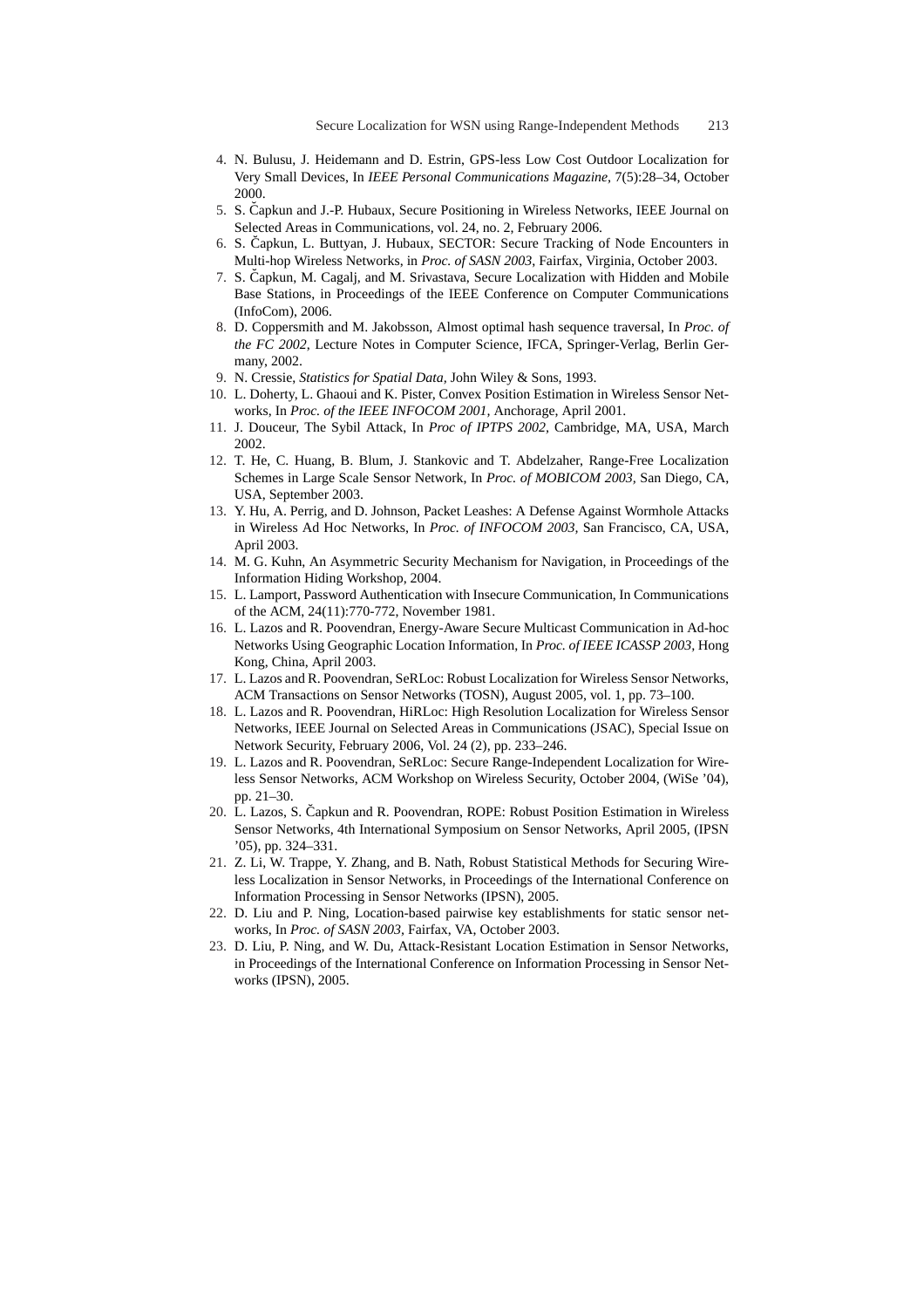- 4. N. Bulusu, J. Heidemann and D. Estrin, GPS-less Low Cost Outdoor Localization for Very Small Devices, In *IEEE Personal Communications Magazine,* 7(5):28–34, October 2000.
- 5. S. Čapkun and J.-P. Hubaux, Secure Positioning in Wireless Networks, IEEE Journal on Selected Areas in Communications, vol. 24, no. 2, February 2006.
- 6. S. Capkun, L. Buttyan, J. Hubaux, SECTOR: Secure Tracking of Node Encounters in ˘ Multi-hop Wireless Networks, in *Proc. of SASN 2003*, Fairfax, Virginia, October 2003.
- 7. S. Čapkun, M. Cagalj, and M. Srivastava, Secure Localization with Hidden and Mobile Base Stations, in Proceedings of the IEEE Conference on Computer Communications (InfoCom), 2006.
- 8. D. Coppersmith and M. Jakobsson, Almost optimal hash sequence traversal, In *Proc. of the FC 2002*, Lecture Notes in Computer Science, IFCA, Springer-Verlag, Berlin Germany, 2002.
- 9. N. Cressie, *Statistics for Spatial Data,* John Wiley & Sons, 1993.
- 10. L. Doherty, L. Ghaoui and K. Pister, Convex Position Estimation in Wireless Sensor Networks, In *Proc. of the IEEE INFOCOM 2001,* Anchorage, April 2001.
- 11. J. Douceur, The Sybil Attack, In *Proc of IPTPS 2002,* Cambridge, MA, USA, March 2002.
- 12. T. He, C. Huang, B. Blum, J. Stankovic and T. Abdelzaher, Range-Free Localization Schemes in Large Scale Sensor Network, In *Proc. of MOBICOM 2003,* San Diego, CA, USA, September 2003.
- 13. Y. Hu, A. Perrig, and D. Johnson, Packet Leashes: A Defense Against Wormhole Attacks in Wireless Ad Hoc Networks, In *Proc. of INFOCOM 2003,* San Francisco, CA, USA, April 2003.
- 14. M. G. Kuhn, An Asymmetric Security Mechanism for Navigation, in Proceedings of the Information Hiding Workshop, 2004.
- 15. L. Lamport, Password Authentication with Insecure Communication, In Communications of the ACM, 24(11):770-772, November 1981.
- 16. L. Lazos and R. Poovendran, Energy-Aware Secure Multicast Communication in Ad-hoc Networks Using Geographic Location Information, In *Proc. of IEEE ICASSP 2003,* Hong Kong, China, April 2003.
- 17. L. Lazos and R. Poovendran, SeRLoc: Robust Localization for Wireless Sensor Networks, ACM Transactions on Sensor Networks (TOSN), August 2005, vol. 1, pp. 73–100.
- 18. L. Lazos and R. Poovendran, HiRLoc: High Resolution Localization for Wireless Sensor Networks, IEEE Journal on Selected Areas in Communications (JSAC), Special Issue on Network Security, February 2006, Vol. 24 (2), pp. 233–246.
- 19. L. Lazos and R. Poovendran, SeRLoc: Secure Range-Independent Localization for Wireless Sensor Networks, ACM Workshop on Wireless Security, October 2004, (WiSe '04), pp. 21–30.
- 20. L. Lazos, S. Capkun and R. Poovendran, ROPE: Robust Position Estimation in Wireless ˘ Sensor Networks, 4th International Symposium on Sensor Networks, April 2005, (IPSN '05), pp. 324–331.
- 21. Z. Li, W. Trappe, Y. Zhang, and B. Nath, Robust Statistical Methods for Securing Wireless Localization in Sensor Networks, in Proceedings of the International Conference on Information Processing in Sensor Networks (IPSN), 2005.
- 22. D. Liu and P. Ning, Location-based pairwise key establishments for static sensor networks, In *Proc. of SASN 2003,* Fairfax, VA, October 2003.
- 23. D. Liu, P. Ning, and W. Du, Attack-Resistant Location Estimation in Sensor Networks, in Proceedings of the International Conference on Information Processing in Sensor Networks (IPSN), 2005.